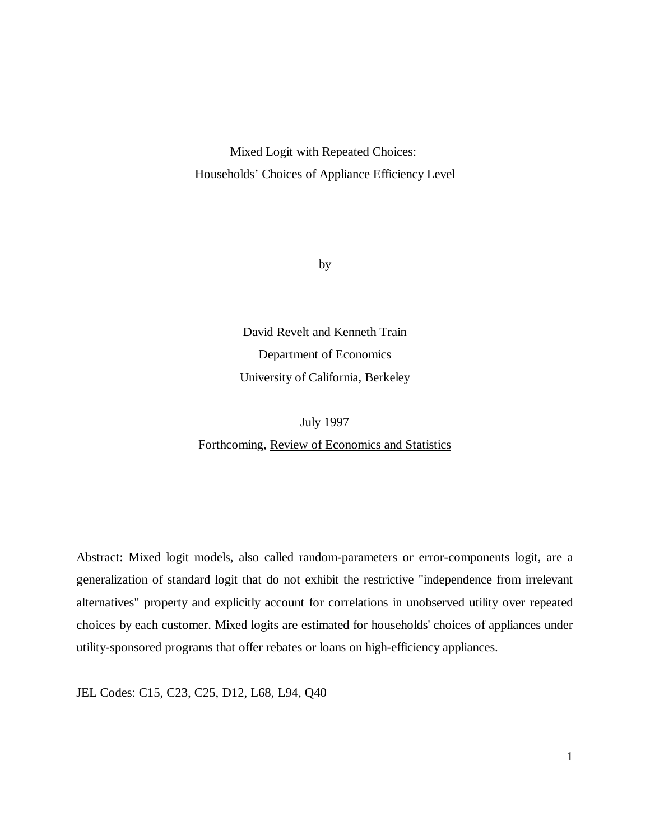Mixed Logit with Repeated Choices: Households' Choices of Appliance Efficiency Level

by

David Revelt and Kenneth Train Department of Economics University of California, Berkeley

July 1997 Forthcoming, Review of Economics and Statistics

Abstract: Mixed logit models, also called random-parameters or error-components logit, are a generalization of standard logit that do not exhibit the restrictive "independence from irrelevant alternatives" property and explicitly account for correlations in unobserved utility over repeated choices by each customer. Mixed logits are estimated for households' choices of appliances under utility-sponsored programs that offer rebates or loans on high-efficiency appliances.

JEL Codes: C15, C23, C25, D12, L68, L94, Q40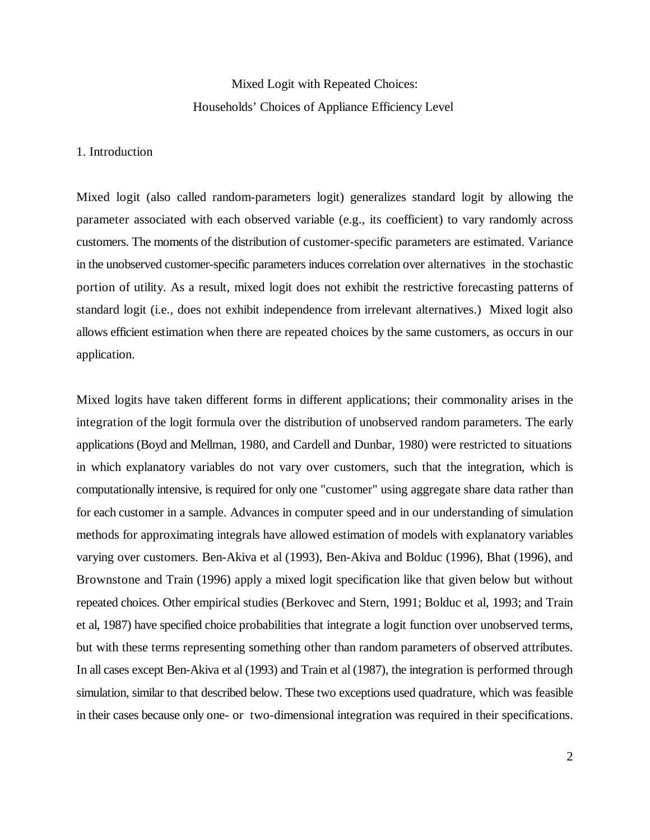# Mixed Logit with Repeated Choices: Households' Choices of Appliance Efficiency Level

### 1. Introduction

Mixed logit (also called random-parameters logit) generalizes standard logit by allowing the parameter associated with each observed variable (e.g., its coefficient) to vary randomly across customers. The moments of the distribution of customer-specific parameters are estimated. Variance in the unobserved customer-specific parameters induces correlation over alternatives in the stochastic portion of utility. As a result, mixed logit does not exhibit the restrictive forecasting patterns of standard logit (i.e., does not exhibit independence from irrelevant alternatives.) Mixed logit also allows efficient estimation when there are repeated choices by the same customers, as occurs in our application.

Mixed logits have taken different forms in different applications; their commonality arises in the integration of the logit formula over the distribution of unobserved random parameters. The early applications (Boyd and Mellman, 1980, and Cardell and Dunbar, 1980) were restricted to situations in which explanatory variables do not vary over customers, such that the integration, which is computationally intensive, is required for only one "customer" using aggregate share data rather than for each customer in a sample. Advances in computer speed and in our understanding of simulation methods for approximating integrals have allowed estimation of models with explanatory variables varying over customers. Ben-Akiva et al (1993), Ben-Akiva and Bolduc (1996), Bhat (1996), and Brownstone and Train (1996) apply a mixed logit specification like that given below but without repeated choices. Other empirical studies (Berkovec and Stern, 1991; Bolduc et al, 1993; and Train et al, 1987) have specified choice probabilities that integrate a logit function over unobserved terms, but with these terms representing something other than random parameters of observed attributes. In all cases except Ben-Akiva et al (1993) and Train et al (1987), the integration is performed through simulation, similar to that described below. These two exceptions used quadrature, which was feasible in their cases because only one- or two-dimensional integration was required in their specifications.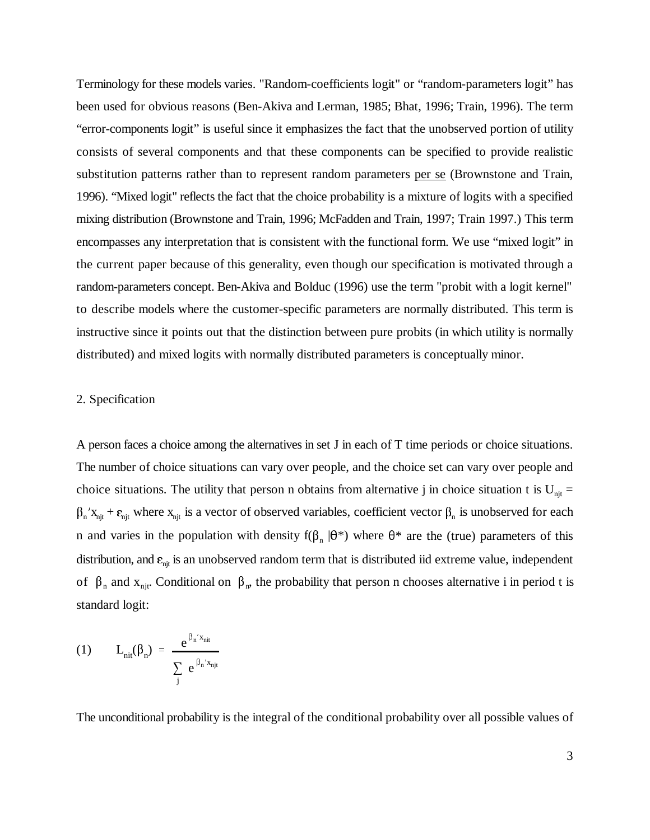Terminology for these models varies. "Random-coefficients logit" or "random-parameters logit" has been used for obvious reasons (Ben-Akiva and Lerman, 1985; Bhat, 1996; Train, 1996). The term "error-components logit" is useful since it emphasizes the fact that the unobserved portion of utility consists of several components and that these components can be specified to provide realistic substitution patterns rather than to represent random parameters per se (Brownstone and Train, 1996). "Mixed logit" reflects the fact that the choice probability is a mixture of logits with a specified mixing distribution (Brownstone and Train, 1996; McFadden and Train, 1997; Train 1997.) This term encompasses any interpretation that is consistent with the functional form. We use "mixed logit" in the current paper because of this generality, even though our specification is motivated through a random-parameters concept. Ben-Akiva and Bolduc (1996) use the term "probit with a logit kernel" to describe models where the customer-specific parameters are normally distributed. This term is instructive since it points out that the distinction between pure probits (in which utility is normally distributed) and mixed logits with normally distributed parameters is conceptually minor.

### 2. Specification

A person faces a choice among the alternatives in set J in each of T time periods or choice situations. The number of choice situations can vary over people, and the choice set can vary over people and choice situations. The utility that person n obtains from alternative j in choice situation t is  $U_{\text{nit}} =$  $\beta_n$ ' $x_{njt}$  +  $\varepsilon_{njt}$  where  $x_{njt}$  is a vector of observed variables, coefficient vector  $\beta_n$  is unobserved for each n and varies in the population with density  $f(\beta_n | \theta^*)$  where  $\theta^*$  are the (true) parameters of this distribution, and  $\varepsilon_{\rm njt}$  is an unobserved random term that is distributed iid extreme value, independent of  $\beta_n$  and  $x_{nji}$ . Conditional on  $\beta_n$ , the probability that person n chooses alternative i in period t is standard logit:

(1) 
$$
L_{\text{nit}}(\beta_n) = \frac{e^{\beta_n' x_{\text{nit}}}}{\sum_{j} e^{\beta_n' x_{\text{njt}}}}
$$

The unconditional probability is the integral of the conditional probability over all possible values of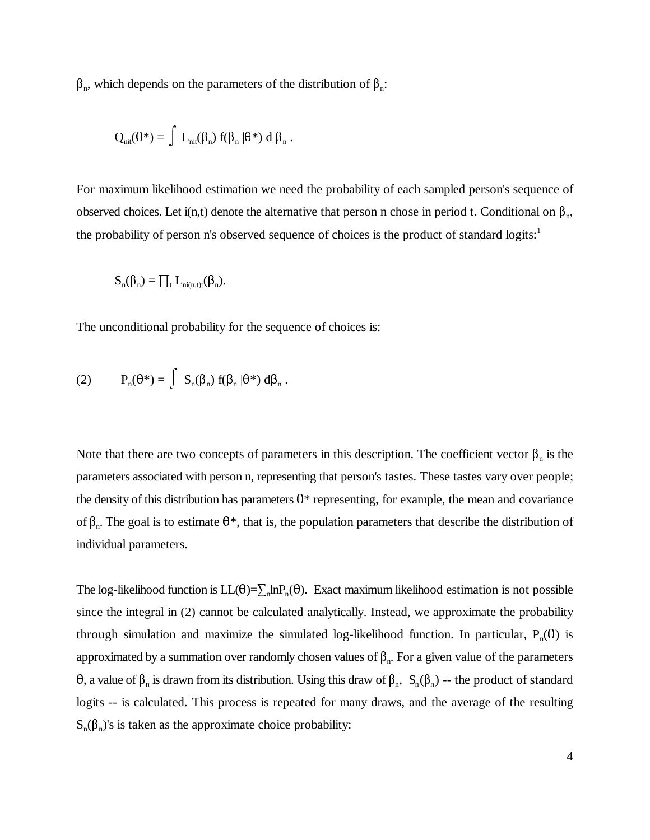$\beta_n$ , which depends on the parameters of the distribution of  $\beta_n$ :

$$
Q_{\text{nit}}(\theta^*) = \int \ L_{\text{nit}}(\beta_n) \ f(\beta_n \,|\theta^*) \ d \ \beta_n \ .
$$

For maximum likelihood estimation we need the probability of each sampled person's sequence of observed choices. Let i(n,t) denote the alternative that person n chose in period t. Conditional on  $\beta_n$ , the probability of person n's observed sequence of choices is the product of standard logits:<sup>1</sup>

$$
S_n(\beta_n) = \prod_t L_{ni(n,t)t}(\beta_n).
$$

The unconditional probability for the sequence of choices is:

(2) 
$$
P_n(\theta^*) = \int S_n(\beta_n) f(\beta_n | \theta^*) d\beta_n.
$$

Note that there are two concepts of parameters in this description. The coefficient vector  $\beta_n$  is the parameters associated with person n, representing that person's tastes. These tastes vary over people; the density of this distribution has parameters  $\theta^*$  representing, for example, the mean and covariance of  $\beta_n$ . The goal is to estimate  $\theta^*$ , that is, the population parameters that describe the distribution of individual parameters.

The log-likelihood function is  $LL(\theta) = \sum_{n} ln P_n(\theta)$ . Exact maximum likelihood estimation is not possible since the integral in (2) cannot be calculated analytically. Instead, we approximate the probability through simulation and maximize the simulated log-likelihood function. In particular,  $P_n(\theta)$  is approximated by a summation over randomly chosen values of  $\beta_n$ . For a given value of the parameters  $\theta$ , a value of  $\beta_n$  is drawn from its distribution. Using this draw of  $\beta_n$ ,  $S_n(\beta_n)$  -- the product of standard logits -- is calculated. This process is repeated for many draws, and the average of the resulting  $S_n(\beta_n)'$ s is taken as the approximate choice probability: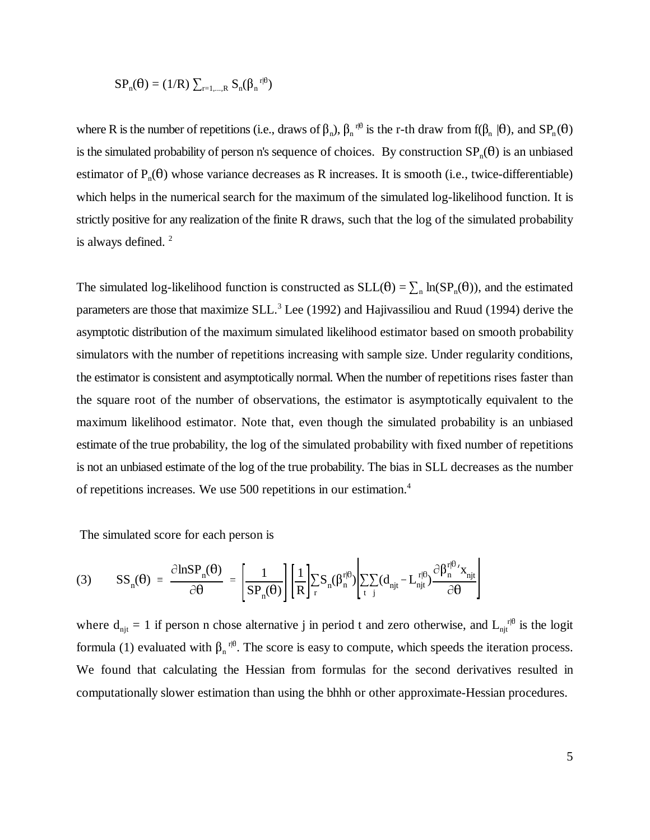$$
SP_n(\theta) = (1/R) \sum_{r=1,\ldots,R} S_n(\beta_n^{r|\theta})
$$

where R is the number of repetitions (i.e., draws of  $\beta_n$ ),  $\beta_n$ <sup>r, p</sup> is the r-th draw from  $f(\beta_n | \theta)$ , and  $SP_n(\theta)$ is the simulated probability of person n's sequence of choices. By construction  $SP_n(\theta)$  is an unbiased estimator of  $P_n(\theta)$  whose variance decreases as R increases. It is smooth (i.e., twice-differentiable) which helps in the numerical search for the maximum of the simulated log-likelihood function. It is strictly positive for any realization of the finite R draws, such that the log of the simulated probability is always defined. 2

The simulated log-likelihood function is constructed as  $SLL(\theta) = \sum_{n} ln(SP_n(\theta))$ , and the estimated parameters are those that maximize  $SLL<sup>3</sup>$  Lee (1992) and Hajivassiliou and Ruud (1994) derive the asymptotic distribution of the maximum simulated likelihood estimator based on smooth probability simulators with the number of repetitions increasing with sample size. Under regularity conditions, the estimator is consistent and asymptotically normal. When the number of repetitions rises faster than the square root of the number of observations, the estimator is asymptotically equivalent to the maximum likelihood estimator. Note that, even though the simulated probability is an unbiased estimate of the true probability, the log of the simulated probability with fixed number of repetitions is not an unbiased estimate of the log of the true probability. The bias in SLL decreases as the number of repetitions increases. We use 500 repetitions in our estimation. 4

The simulated score for each person is

$$
(3) \qquad SS_{n}(\theta) = \frac{\partial \text{lnSP}_{n}(\theta)}{\partial \theta} = \left[\frac{1}{SP_{n}(\theta)}\right] \left[\frac{1}{R}\right] \sum_{r} S_{n}(\beta_{n}^{r|\theta}) \left[\sum_{t} \sum_{j} (d_{njt} - L_{njt}^{r|\theta}) \frac{\partial \beta_{n}^{r|\theta} \prime x_{njt}}{\partial \theta}\right]
$$

where  $d_{njt} = 1$  if person n chose alternative j in period t and zero otherwise, and  $L_{njt}^{r|0}$  is the logit formula (1) evaluated with  $\beta_n$ <sup>n $\theta$ </sup>. The score is easy to compute, which speeds the iteration process. We found that calculating the Hessian from formulas for the second derivatives resulted in computationally slower estimation than using the bhhh or other approximate-Hessian procedures.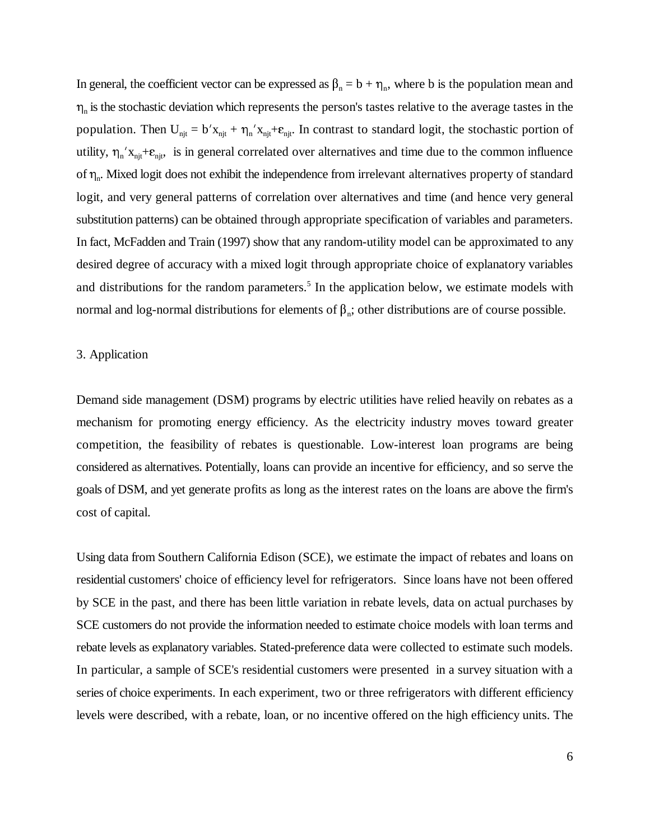In general, the coefficient vector can be expressed as  $\beta_n = b + \eta_n$ , where b is the population mean and  $\eta_n$  is the stochastic deviation which represents the person's tastes relative to the average tastes in the  $\eta_n$  is the stochastic deviation which represents the person's tastes relative to the average tastes in the population. Then  $U_{njt} = b' x_{njt} + \eta_n' x_{njt} + \varepsilon_{njt}$ . In contrast to standard logit, the stochastic portion of population. Then  $U_{njt} = b' x_{njt} + \eta_n' x_{njt} + \varepsilon_{njt}$ . In contrast to standard logit, the stochastic portion of utility,  $\eta_n' x_{njt} + \varepsilon_{njt}$ , is in general correlated over alternatives and time due to the common influence of  $\eta_n$ . Mixed logit does not exhibit the independence from irrelevant alternatives property of standard logit, and very general patterns of correlation over alternatives and time (and hence very general substitution patterns) can be obtained through appropriate specification of variables and parameters. In fact, McFadden and Train (1997) show that any random-utility model can be approximated to any desired degree of accuracy with a mixed logit through appropriate choice of explanatory variables and distributions for the random parameters.<sup>5</sup> In the application below, we estimate models with normal and log-normal distributions for elements of  $\beta_n$ ; other distributions are of course possible.

#### 3. Application

Demand side management (DSM) programs by electric utilities have relied heavily on rebates as a mechanism for promoting energy efficiency. As the electricity industry moves toward greater competition, the feasibility of rebates is questionable. Low-interest loan programs are being considered as alternatives. Potentially, loans can provide an incentive for efficiency, and so serve the goals of DSM, and yet generate profits as long as the interest rates on the loans are above the firm's cost of capital.

Using data from Southern California Edison (SCE), we estimate the impact of rebates and loans on residential customers' choice of efficiency level for refrigerators. Since loans have not been offered by SCE in the past, and there has been little variation in rebate levels, data on actual purchases by SCE customers do not provide the information needed to estimate choice models with loan terms and rebate levels as explanatory variables. Stated-preference data were collected to estimate such models. In particular, a sample of SCE's residential customers were presented in a survey situation with a series of choice experiments. In each experiment, two or three refrigerators with different efficiency levels were described, with a rebate, loan, or no incentive offered on the high efficiency units. The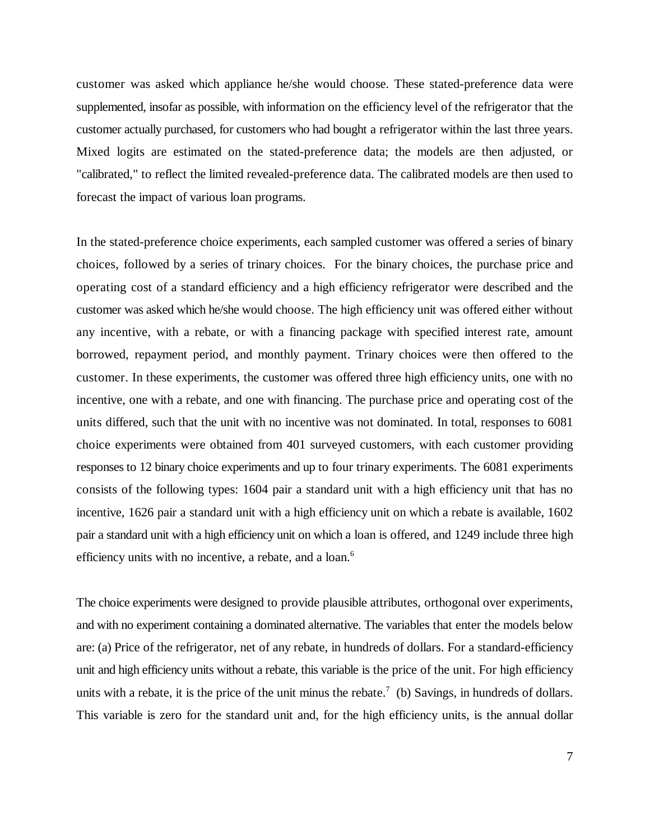customer was asked which appliance he/she would choose. These stated-preference data were supplemented, insofar as possible, with information on the efficiency level of the refrigerator that the customer actually purchased, for customers who had bought a refrigerator within the last three years. Mixed logits are estimated on the stated-preference data; the models are then adjusted, or "calibrated," to reflect the limited revealed-preference data. The calibrated models are then used to forecast the impact of various loan programs.

In the stated-preference choice experiments, each sampled customer was offered a series of binary choices, followed by a series of trinary choices. For the binary choices, the purchase price and operating cost of a standard efficiency and a high efficiency refrigerator were described and the customer was asked which he/she would choose. The high efficiency unit was offered either without any incentive, with a rebate, or with a financing package with specified interest rate, amount borrowed, repayment period, and monthly payment. Trinary choices were then offered to the customer. In these experiments, the customer was offered three high efficiency units, one with no incentive, one with a rebate, and one with financing. The purchase price and operating cost of the units differed, such that the unit with no incentive was not dominated. In total, responses to 6081 choice experiments were obtained from 401 surveyed customers, with each customer providing responses to 12 binary choice experiments and up to four trinary experiments. The 6081 experiments consists of the following types: 1604 pair a standard unit with a high efficiency unit that has no incentive, 1626 pair a standard unit with a high efficiency unit on which a rebate is available, 1602 pair a standard unit with a high efficiency unit on which a loan is offered, and 1249 include three high efficiency units with no incentive, a rebate, and a loan.<sup>6</sup>

The choice experiments were designed to provide plausible attributes, orthogonal over experiments, and with no experiment containing a dominated alternative. The variables that enter the models below are: (a) Price of the refrigerator, net of any rebate, in hundreds of dollars. For a standard-efficiency unit and high efficiency units without a rebate, this variable is the price of the unit. For high efficiency units with a rebate, it is the price of the unit minus the rebate.<sup>7</sup> (b) Savings, in hundreds of dollars. This variable is zero for the standard unit and, for the high efficiency units, is the annual dollar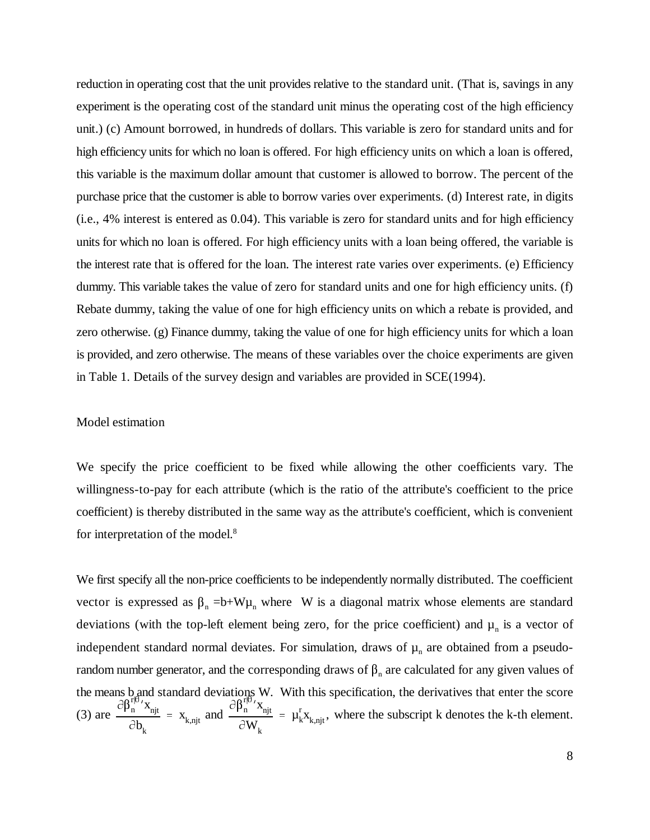reduction in operating cost that the unit provides relative to the standard unit. (That is, savings in any experiment is the operating cost of the standard unit minus the operating cost of the high efficiency unit.) (c) Amount borrowed, in hundreds of dollars. This variable is zero for standard units and for high efficiency units for which no loan is offered. For high efficiency units on which a loan is offered, this variable is the maximum dollar amount that customer is allowed to borrow. The percent of the purchase price that the customer is able to borrow varies over experiments. (d) Interest rate, in digits (i.e., 4% interest is entered as 0.04). This variable is zero for standard units and for high efficiency units for which no loan is offered. For high efficiency units with a loan being offered, the variable is the interest rate that is offered for the loan. The interest rate varies over experiments. (e) Efficiency dummy. This variable takes the value of zero for standard units and one for high efficiency units. (f) Rebate dummy, taking the value of one for high efficiency units on which a rebate is provided, and zero otherwise. (g) Finance dummy, taking the value of one for high efficiency units for which a loan is provided, and zero otherwise. The means of these variables over the choice experiments are given in Table 1. Details of the survey design and variables are provided in SCE(1994).

#### Model estimation

We specify the price coefficient to be fixed while allowing the other coefficients vary. The willingness-to-pay for each attribute (which is the ratio of the attribute's coefficient to the price coefficient) is thereby distributed in the same way as the attribute's coefficient, which is convenient for interpretation of the model. 8

 $\frac{\partial \beta_n^{r|\theta}}{\partial \beta_n^{r|\theta}}$   $x_{njt}$  $\partial b_k$ Ĩ  $= x_{k,njt}$  $\frac{\partial \beta_0^{r|\theta}}{\partial \beta_n^{r|\theta}}$   $x_{njt}$  $\partial W_{k}$ Ĵ, (3) are  $\frac{U_{\mu_n} - \lambda_{njt}}{2N} = X_{k,njt}$  and  $\frac{U_{\mu_n} - \lambda_{njt}}{2N} = \mu_k^T X_{k,njt}$ , where the subscript k denotes the k-th element. We first specify all the non-price coefficients to be independently normally distributed. The coefficient vector is expressed as  $\beta_n = b+W\mu_n$  where W is a diagonal matrix whose elements are standard deviations (with the top-left element being zero, for the price coefficient) and  $\mu_n$  is a vector of independent standard normal deviates. For simulation, draws of  $\mu_n$  are obtained from a pseudorandom number generator, and the corresponding draws of  $\beta_n$  are calculated for any given values of the means b and standard deviations W. With this specification, the derivatives that enter the score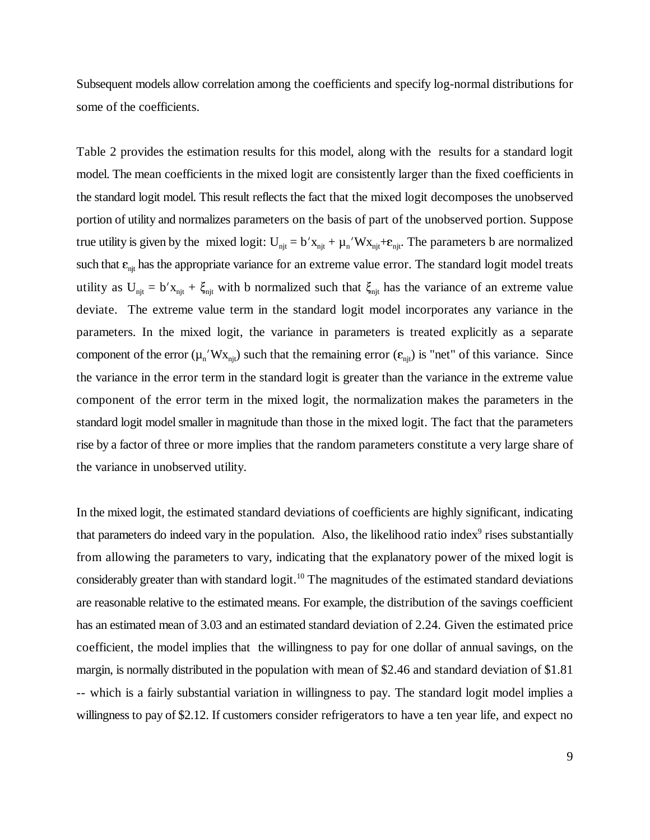Subsequent models allow correlation among the coefficients and specify log-normal distributions for some of the coefficients.

Table 2 provides the estimation results for this model, along with the results for a standard logit model. The mean coefficients in the mixed logit are consistently larger than the fixed coefficients in the standard logit model. This result reflects the fact that the mixed logit decomposes the unobserved portion of utility and normalizes parameters on the basis of part of the unobserved portion. Suppose true utility is given by the mixed logit:  $U_{ni} = b'x_{ni} + \mu_n'Wx_{ni} + \varepsilon_{ni}$ . The parameters b are normalized such that  $\varepsilon_{nj}$  has the appropriate variance for an extreme value error. The standard logit model treats utility as  $U_{njt} = b'x_{njt} + \xi_{njt}$  with b normalized such that  $\xi_{njt}$  has the variance of an extreme value deviate. The extreme value term in the standard logit model incorporates any variance in the parameters. In the mixed logit, the variance in parameters is treated explicitly as a separate component of the error  $(\mu_n' W x_{ni})$  such that the remaining error  $(\epsilon_{ni})$  is "net" of this variance. Since the variance in the error term in the standard logit is greater than the variance in the extreme value component of the error term in the mixed logit, the normalization makes the parameters in the standard logit model smaller in magnitude than those in the mixed logit. The fact that the parameters rise by a factor of three or more implies that the random parameters constitute a very large share of the variance in unobserved utility.

In the mixed logit, the estimated standard deviations of coefficients are highly significant, indicating that parameters do indeed vary in the population. Also, the likelihood ratio index<sup>9</sup> rises substantially from allowing the parameters to vary, indicating that the explanatory power of the mixed logit is considerably greater than with standard logit.<sup>10</sup> The magnitudes of the estimated standard deviations are reasonable relative to the estimated means. For example, the distribution of the savings coefficient has an estimated mean of 3.03 and an estimated standard deviation of 2.24. Given the estimated price coefficient, the model implies that the willingness to pay for one dollar of annual savings, on the margin, is normally distributed in the population with mean of \$2.46 and standard deviation of \$1.81 -- which is a fairly substantial variation in willingness to pay. The standard logit model implies a willingness to pay of \$2.12. If customers consider refrigerators to have a ten year life, and expect no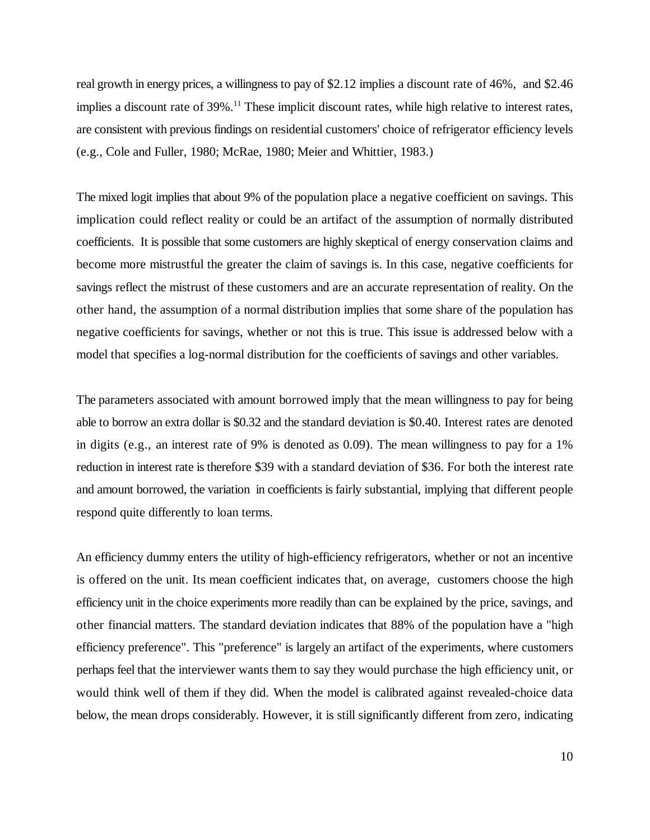real growth in energy prices, a willingness to pay of \$2.12 implies a discount rate of 46%, and \$2.46 implies a discount rate of  $39\%$ .<sup>11</sup> These implicit discount rates, while high relative to interest rates, are consistent with previous findings on residential customers' choice of refrigerator efficiency levels (e.g., Cole and Fuller, 1980; McRae, 1980; Meier and Whittier, 1983.)

The mixed logit implies that about 9% of the population place a negative coefficient on savings. This implication could reflect reality or could be an artifact of the assumption of normally distributed coefficients. It is possible that some customers are highly skeptical of energy conservation claims and become more mistrustful the greater the claim of savings is. In this case, negative coefficients for savings reflect the mistrust of these customers and are an accurate representation of reality. On the other hand, the assumption of a normal distribution implies that some share of the population has negative coefficients for savings, whether or not this is true. This issue is addressed below with a model that specifies a log-normal distribution for the coefficients of savings and other variables.

The parameters associated with amount borrowed imply that the mean willingness to pay for being able to borrow an extra dollar is \$0.32 and the standard deviation is \$0.40. Interest rates are denoted in digits (e.g., an interest rate of 9% is denoted as 0.09). The mean willingness to pay for a 1% reduction in interest rate is therefore \$39 with a standard deviation of \$36. For both the interest rate and amount borrowed, the variation in coefficients is fairly substantial, implying that different people respond quite differently to loan terms.

An efficiency dummy enters the utility of high-efficiency refrigerators, whether or not an incentive is offered on the unit. Its mean coefficient indicates that, on average, customers choose the high efficiency unit in the choice experiments more readily than can be explained by the price, savings, and other financial matters. The standard deviation indicates that 88% of the population have a "high efficiency preference". This "preference" is largely an artifact of the experiments, where customers perhaps feel that the interviewer wants them to say they would purchase the high efficiency unit, or would think well of them if they did. When the model is calibrated against revealed-choice data below, the mean drops considerably. However, it is still significantly different from zero, indicating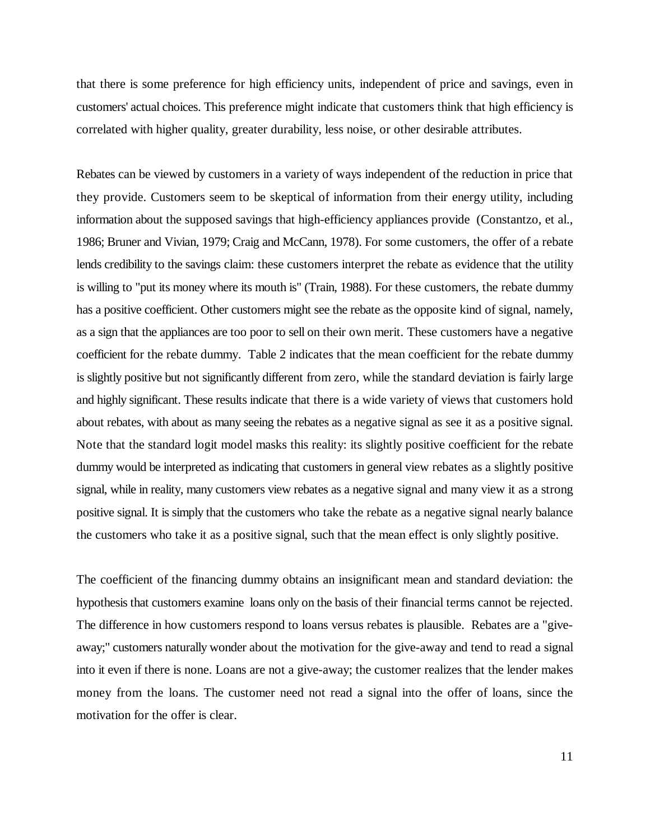that there is some preference for high efficiency units, independent of price and savings, even in customers' actual choices. This preference might indicate that customers think that high efficiency is correlated with higher quality, greater durability, less noise, or other desirable attributes.

Rebates can be viewed by customers in a variety of ways independent of the reduction in price that they provide. Customers seem to be skeptical of information from their energy utility, including information about the supposed savings that high-efficiency appliances provide (Constantzo, et al., 1986; Bruner and Vivian, 1979; Craig and McCann, 1978). For some customers, the offer of a rebate lends credibility to the savings claim: these customers interpret the rebate as evidence that the utility is willing to "put its money where its mouth is" (Train, 1988). For these customers, the rebate dummy has a positive coefficient. Other customers might see the rebate as the opposite kind of signal, namely, as a sign that the appliances are too poor to sell on their own merit. These customers have a negative coefficient for the rebate dummy. Table 2 indicates that the mean coefficient for the rebate dummy is slightly positive but not significantly different from zero, while the standard deviation is fairly large and highly significant. These results indicate that there is a wide variety of views that customers hold about rebates, with about as many seeing the rebates as a negative signal as see it as a positive signal. Note that the standard logit model masks this reality: its slightly positive coefficient for the rebate dummy would be interpreted as indicating that customers in general view rebates as a slightly positive signal, while in reality, many customers view rebates as a negative signal and many view it as a strong positive signal. It is simply that the customers who take the rebate as a negative signal nearly balance the customers who take it as a positive signal, such that the mean effect is only slightly positive.

The coefficient of the financing dummy obtains an insignificant mean and standard deviation: the hypothesis that customers examine loans only on the basis of their financial terms cannot be rejected. The difference in how customers respond to loans versus rebates is plausible. Rebates are a "giveaway;" customers naturally wonder about the motivation for the give-away and tend to read a signal into it even if there is none. Loans are not a give-away; the customer realizes that the lender makes money from the loans. The customer need not read a signal into the offer of loans, since the motivation for the offer is clear.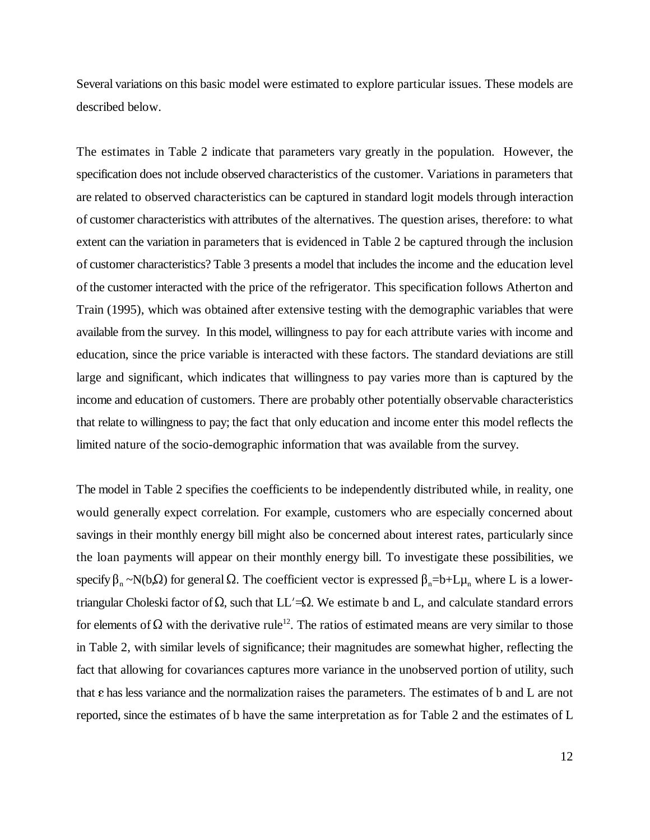Several variations on this basic model were estimated to explore particular issues. These models are described below.

The estimates in Table 2 indicate that parameters vary greatly in the population. However, the specification does not include observed characteristics of the customer. Variations in parameters that are related to observed characteristics can be captured in standard logit models through interaction of customer characteristics with attributes of the alternatives. The question arises, therefore: to what extent can the variation in parameters that is evidenced in Table 2 be captured through the inclusion of customer characteristics? Table 3 presents a model that includes the income and the education level of the customer interacted with the price of the refrigerator. This specification follows Atherton and Train (1995), which was obtained after extensive testing with the demographic variables that were available from the survey. In this model, willingness to pay for each attribute varies with income and education, since the price variable is interacted with these factors. The standard deviations are still large and significant, which indicates that willingness to pay varies more than is captured by the income and education of customers. There are probably other potentially observable characteristics that relate to willingness to pay; the fact that only education and income enter this model reflects the limited nature of the socio-demographic information that was available from the survey.

The model in Table 2 specifies the coefficients to be independently distributed while, in reality, one would generally expect correlation. For example, customers who are especially concerned about savings in their monthly energy bill might also be concerned about interest rates, particularly since the loan payments will appear on their monthly energy bill. To investigate these possibilities, we specify  $\beta_n \sim N(b, \Omega)$  for general  $\Omega$ . The coefficient vector is expressed  $\beta_n = b + L\mu_n$  where L is a lower-<br>triangular Choleski factor of  $\Omega$ , such that LL'= $\Omega$ . We estimate b and L, and calculate standard errors for elements of  $\Omega$  with the derivative rule<sup>12</sup>. The ratios of estimated means are very similar to those in Table 2, with similar levels of significance; their magnitudes are somewhat higher, reflecting the fact that allowing for covariances captures more variance in the unobserved portion of utility, such that  $\varepsilon$  has less variance and the normalization raises the parameters. The estimates of b and L are not reported, since the estimates of b have the same interpretation as for Table 2 and the estimates of L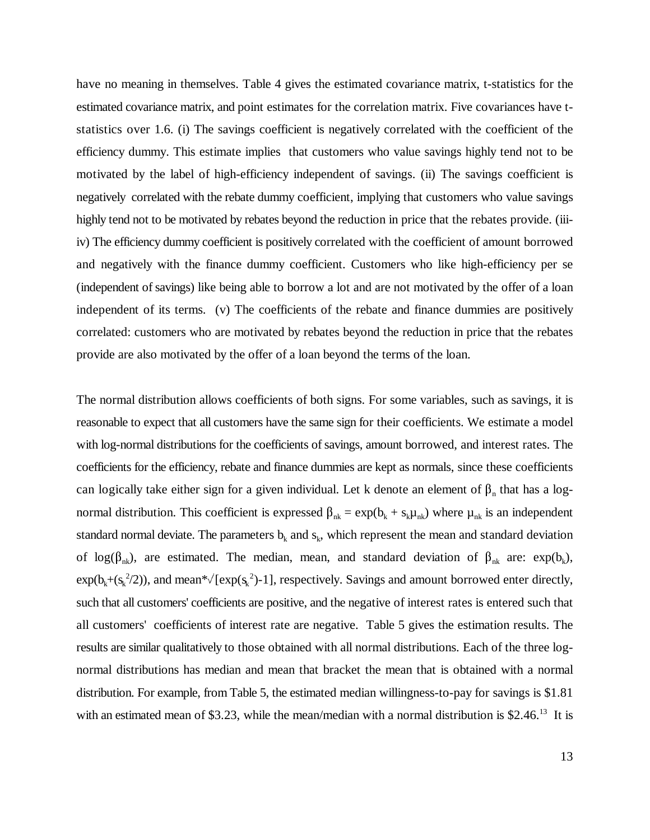have no meaning in themselves. Table 4 gives the estimated covariance matrix, t-statistics for the estimated covariance matrix, and point estimates for the correlation matrix. Five covariances have tstatistics over 1.6. (i) The savings coefficient is negatively correlated with the coefficient of the efficiency dummy. This estimate implies that customers who value savings highly tend not to be motivated by the label of high-efficiency independent of savings. (ii) The savings coefficient is negatively correlated with the rebate dummy coefficient, implying that customers who value savings highly tend not to be motivated by rebates beyond the reduction in price that the rebates provide. (iiiiv) The efficiency dummy coefficient is positively correlated with the coefficient of amount borrowed and negatively with the finance dummy coefficient. Customers who like high-efficiency per se (independent of savings) like being able to borrow a lot and are not motivated by the offer of a loan independent of its terms. (v) The coefficients of the rebate and finance dummies are positively correlated: customers who are motivated by rebates beyond the reduction in price that the rebates provide are also motivated by the offer of a loan beyond the terms of the loan.

The normal distribution allows coefficients of both signs. For some variables, such as savings, it is reasonable to expect that all customers have the same sign for their coefficients. We estimate a model with log-normal distributions for the coefficients of savings, amount borrowed, and interest rates. The coefficients for the efficiency, rebate and finance dummies are kept as normals, since these coefficients can logically take either sign for a given individual. Let k denote an element of  $\beta_n$  that has a lognormal distribution. This coefficient is expressed  $\beta_{nk} = \exp(b_k + s_k \mu_{nk})$  where  $\mu_{nk}$  is an independent standard normal deviate. The parameters  $b_k$  and  $s_k$ , which represent the mean and standard deviation of log( $\beta_{nk}$ ), are estimated. The median, mean, and standard deviation of  $\beta_{nk}$  are: exp( $b_k$ ),  $exp(b_k + (s_k^2/2))$ , and mean\* $\sqrt{[exp(s_k^2)-1]}$ , respectively. Savings and amount borrowed enter directly, such that all customers' coefficients are positive, and the negative of interest rates is entered such that all customers' coefficients of interest rate are negative. Table 5 gives the estimation results. The results are similar qualitatively to those obtained with all normal distributions. Each of the three lognormal distributions has median and mean that bracket the mean that is obtained with a normal distribution. For example, from Table 5, the estimated median willingness-to-pay for savings is \$1.81 with an estimated mean of \$3.23, while the mean/median with a normal distribution is  $$2.46<sup>13</sup>$  It is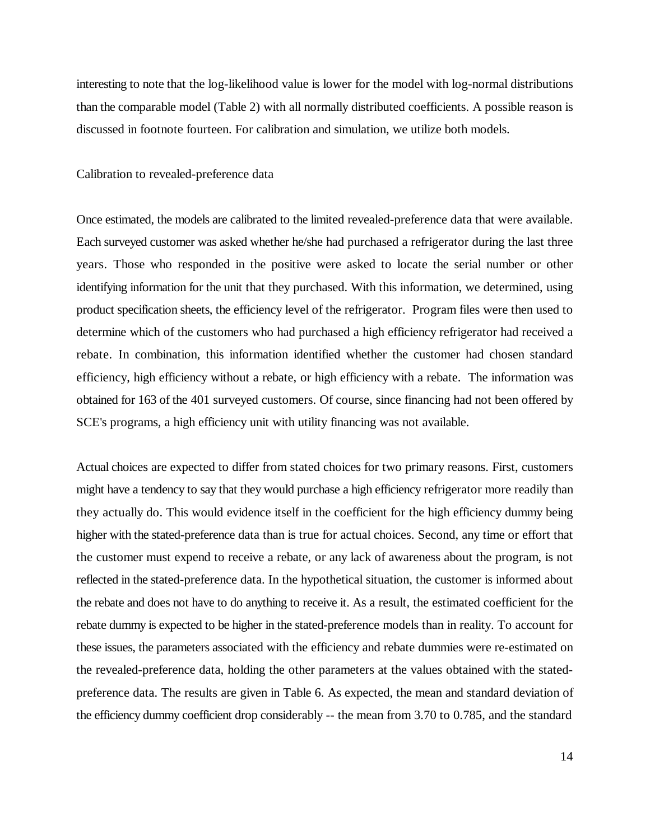interesting to note that the log-likelihood value is lower for the model with log-normal distributions than the comparable model (Table 2) with all normally distributed coefficients. A possible reason is discussed in footnote fourteen. For calibration and simulation, we utilize both models.

Calibration to revealed-preference data

Once estimated, the models are calibrated to the limited revealed-preference data that were available. Each surveyed customer was asked whether he/she had purchased a refrigerator during the last three years. Those who responded in the positive were asked to locate the serial number or other identifying information for the unit that they purchased. With this information, we determined, using product specification sheets, the efficiency level of the refrigerator. Program files were then used to determine which of the customers who had purchased a high efficiency refrigerator had received a rebate. In combination, this information identified whether the customer had chosen standard efficiency, high efficiency without a rebate, or high efficiency with a rebate. The information was obtained for 163 of the 401 surveyed customers. Of course, since financing had not been offered by SCE's programs, a high efficiency unit with utility financing was not available.

Actual choices are expected to differ from stated choices for two primary reasons. First, customers might have a tendency to say that they would purchase a high efficiency refrigerator more readily than they actually do. This would evidence itself in the coefficient for the high efficiency dummy being higher with the stated-preference data than is true for actual choices. Second, any time or effort that the customer must expend to receive a rebate, or any lack of awareness about the program, is not reflected in the stated-preference data. In the hypothetical situation, the customer is informed about the rebate and does not have to do anything to receive it. As a result, the estimated coefficient for the rebate dummy is expected to be higher in the stated-preference models than in reality. To account for these issues, the parameters associated with the efficiency and rebate dummies were re-estimated on the revealed-preference data, holding the other parameters at the values obtained with the statedpreference data. The results are given in Table 6. As expected, the mean and standard deviation of the efficiency dummy coefficient drop considerably -- the mean from 3.70 to 0.785, and the standard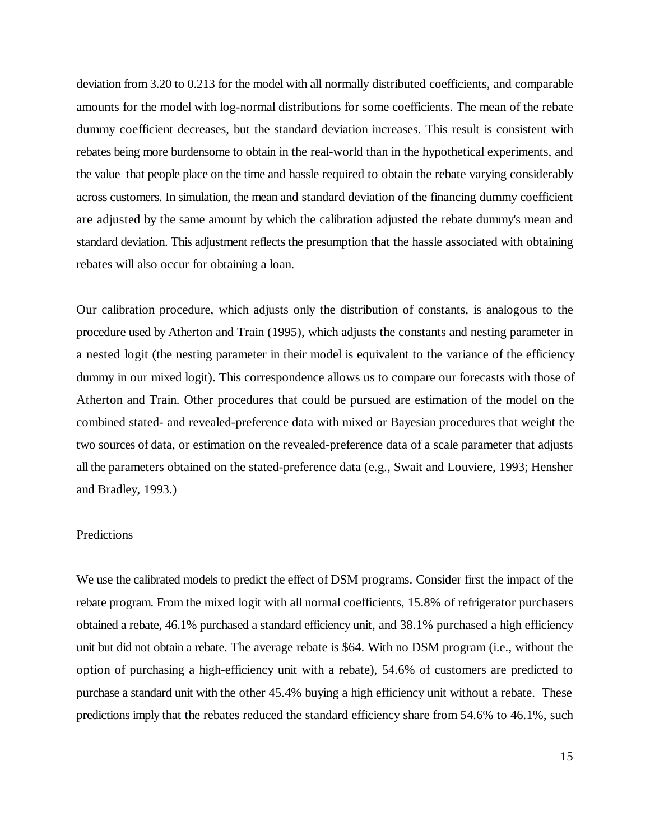deviation from 3.20 to 0.213 for the model with all normally distributed coefficients, and comparable amounts for the model with log-normal distributions for some coefficients. The mean of the rebate dummy coefficient decreases, but the standard deviation increases. This result is consistent with rebates being more burdensome to obtain in the real-world than in the hypothetical experiments, and the value that people place on the time and hassle required to obtain the rebate varying considerably across customers. In simulation, the mean and standard deviation of the financing dummy coefficient are adjusted by the same amount by which the calibration adjusted the rebate dummy's mean and standard deviation. This adjustment reflects the presumption that the hassle associated with obtaining rebates will also occur for obtaining a loan.

Our calibration procedure, which adjusts only the distribution of constants, is analogous to the procedure used by Atherton and Train (1995), which adjusts the constants and nesting parameter in a nested logit (the nesting parameter in their model is equivalent to the variance of the efficiency dummy in our mixed logit). This correspondence allows us to compare our forecasts with those of Atherton and Train. Other procedures that could be pursued are estimation of the model on the combined stated- and revealed-preference data with mixed or Bayesian procedures that weight the two sources of data, or estimation on the revealed-preference data of a scale parameter that adjusts all the parameters obtained on the stated-preference data (e.g., Swait and Louviere, 1993; Hensher and Bradley, 1993.)

#### Predictions

We use the calibrated models to predict the effect of DSM programs. Consider first the impact of the rebate program. From the mixed logit with all normal coefficients, 15.8% of refrigerator purchasers obtained a rebate, 46.1% purchased a standard efficiency unit, and 38.1% purchased a high efficiency unit but did not obtain a rebate. The average rebate is \$64. With no DSM program (i.e., without the option of purchasing a high-efficiency unit with a rebate), 54.6% of customers are predicted to purchase a standard unit with the other 45.4% buying a high efficiency unit without a rebate. These predictions imply that the rebates reduced the standard efficiency share from 54.6% to 46.1%, such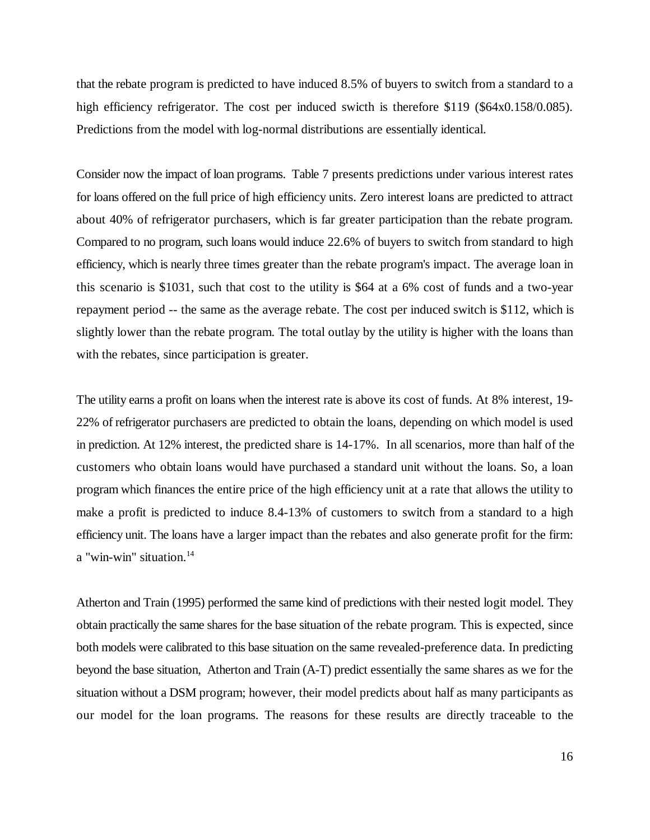that the rebate program is predicted to have induced 8.5% of buyers to switch from a standard to a high efficiency refrigerator. The cost per induced swicth is therefore \$119 (\$64x0.158/0.085). Predictions from the model with log-normal distributions are essentially identical.

Consider now the impact of loan programs. Table 7 presents predictions under various interest rates for loans offered on the full price of high efficiency units. Zero interest loans are predicted to attract about 40% of refrigerator purchasers, which is far greater participation than the rebate program. Compared to no program, such loans would induce 22.6% of buyers to switch from standard to high efficiency, which is nearly three times greater than the rebate program's impact. The average loan in this scenario is \$1031, such that cost to the utility is \$64 at a 6% cost of funds and a two-year repayment period -- the same as the average rebate. The cost per induced switch is \$112, which is slightly lower than the rebate program. The total outlay by the utility is higher with the loans than with the rebates, since participation is greater.

The utility earns a profit on loans when the interest rate is above its cost of funds. At 8% interest, 19- 22% of refrigerator purchasers are predicted to obtain the loans, depending on which model is used in prediction. At 12% interest, the predicted share is 14-17%. In all scenarios, more than half of the customers who obtain loans would have purchased a standard unit without the loans. So, a loan program which finances the entire price of the high efficiency unit at a rate that allows the utility to make a profit is predicted to induce 8.4-13% of customers to switch from a standard to a high efficiency unit. The loans have a larger impact than the rebates and also generate profit for the firm: a "win-win" situation. $14$ 

Atherton and Train (1995) performed the same kind of predictions with their nested logit model. They obtain practically the same shares for the base situation of the rebate program. This is expected, since both models were calibrated to this base situation on the same revealed-preference data. In predicting beyond the base situation, Atherton and Train (A-T) predict essentially the same shares as we for the situation without a DSM program; however, their model predicts about half as many participants as our model for the loan programs. The reasons for these results are directly traceable to the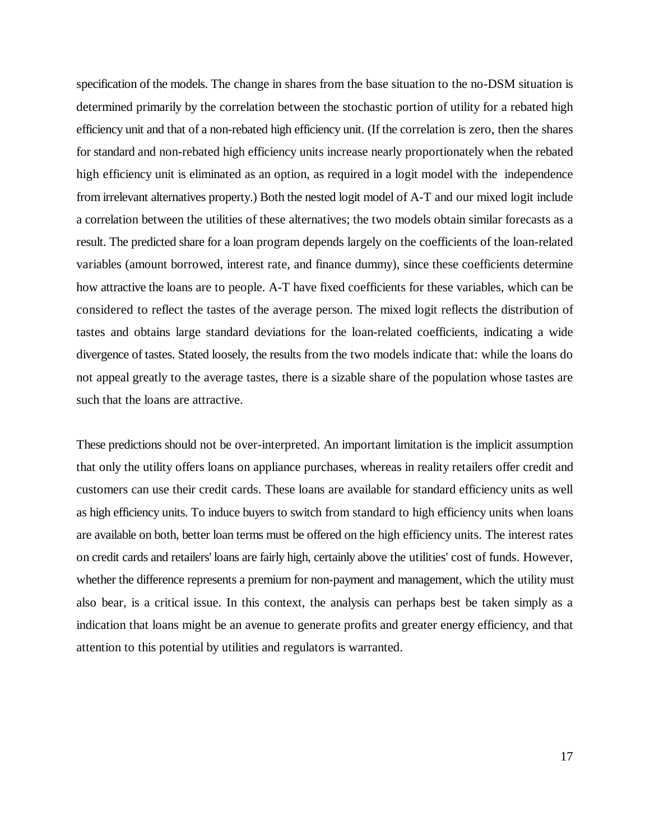specification of the models. The change in shares from the base situation to the no-DSM situation is determined primarily by the correlation between the stochastic portion of utility for a rebated high efficiency unit and that of a non-rebated high efficiency unit. (If the correlation is zero, then the shares for standard and non-rebated high efficiency units increase nearly proportionately when the rebated high efficiency unit is eliminated as an option, as required in a logit model with the independence from irrelevant alternatives property.) Both the nested logit model of A-T and our mixed logit include a correlation between the utilities of these alternatives; the two models obtain similar forecasts as a result. The predicted share for a loan program depends largely on the coefficients of the loan-related variables (amount borrowed, interest rate, and finance dummy), since these coefficients determine how attractive the loans are to people. A-T have fixed coefficients for these variables, which can be considered to reflect the tastes of the average person. The mixed logit reflects the distribution of tastes and obtains large standard deviations for the loan-related coefficients, indicating a wide divergence of tastes. Stated loosely, the results from the two models indicate that: while the loans do not appeal greatly to the average tastes, there is a sizable share of the population whose tastes are such that the loans are attractive.

These predictions should not be over-interpreted. An important limitation is the implicit assumption that only the utility offers loans on appliance purchases, whereas in reality retailers offer credit and customers can use their credit cards. These loans are available for standard efficiency units as well as high efficiency units. To induce buyers to switch from standard to high efficiency units when loans are available on both, better loan terms must be offered on the high efficiency units. The interest rates on credit cards and retailers' loans are fairly high, certainly above the utilities' cost of funds. However, whether the difference represents a premium for non-payment and management, which the utility must also bear, is a critical issue. In this context, the analysis can perhaps best be taken simply as a indication that loans might be an avenue to generate profits and greater energy efficiency, and that attention to this potential by utilities and regulators is warranted.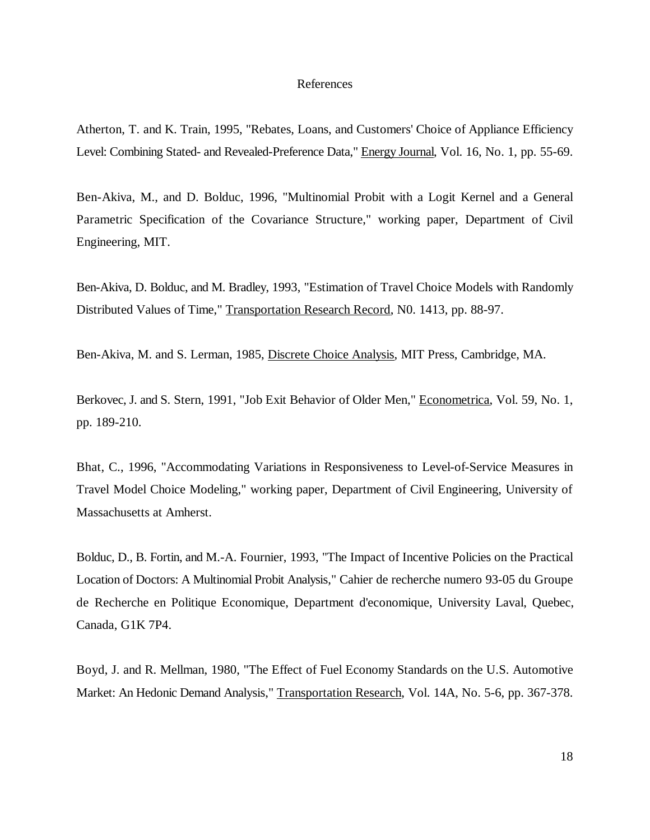### References

Atherton, T. and K. Train, 1995, "Rebates, Loans, and Customers' Choice of Appliance Efficiency Level: Combining Stated- and Revealed-Preference Data," Energy Journal, Vol. 16, No. 1, pp. 55-69.

Ben-Akiva, M., and D. Bolduc, 1996, "Multinomial Probit with a Logit Kernel and a General Parametric Specification of the Covariance Structure," working paper, Department of Civil Engineering, MIT.

Ben-Akiva, D. Bolduc, and M. Bradley, 1993, "Estimation of Travel Choice Models with Randomly Distributed Values of Time," Transportation Research Record, N0. 1413, pp. 88-97.

Ben-Akiva, M. and S. Lerman, 1985, Discrete Choice Analysis, MIT Press, Cambridge, MA.

Berkovec, J. and S. Stern, 1991, "Job Exit Behavior of Older Men," Econometrica, Vol. 59, No. 1, pp. 189-210.

Bhat, C., 1996, "Accommodating Variations in Responsiveness to Level-of-Service Measures in Travel Model Choice Modeling," working paper, Department of Civil Engineering, University of Massachusetts at Amherst.

Bolduc, D., B. Fortin, and M.-A. Fournier, 1993, "The Impact of Incentive Policies on the Practical Location of Doctors: A Multinomial Probit Analysis," Cahier de recherche numero 93-05 du Groupe de Recherche en Politique Economique, Department d'economique, University Laval, Quebec, Canada, G1K 7P4.

Boyd, J. and R. Mellman, 1980, "The Effect of Fuel Economy Standards on the U.S. Automotive Market: An Hedonic Demand Analysis," Transportation Research, Vol. 14A, No. 5-6, pp. 367-378.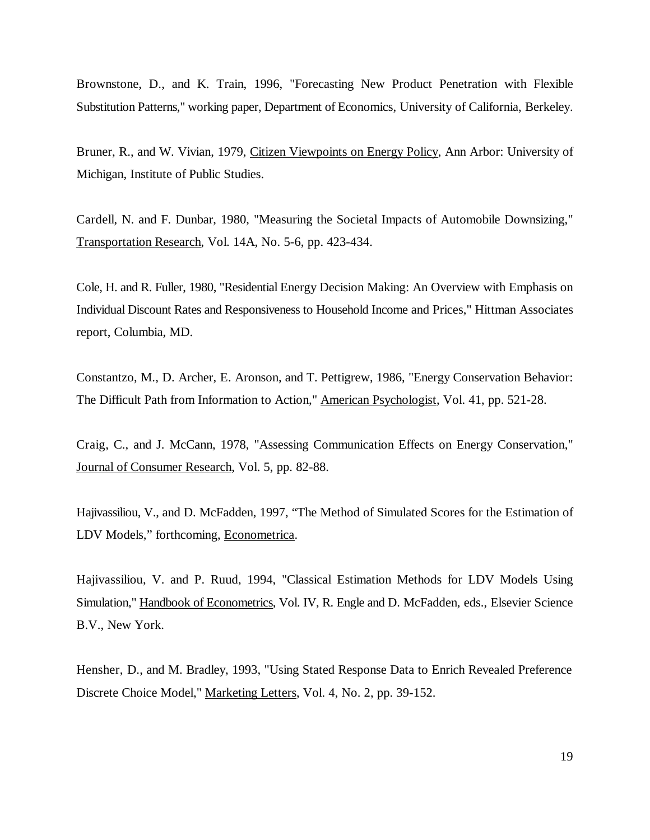Brownstone, D., and K. Train, 1996, "Forecasting New Product Penetration with Flexible Substitution Patterns," working paper, Department of Economics, University of California, Berkeley.

Bruner, R., and W. Vivian, 1979, Citizen Viewpoints on Energy Policy, Ann Arbor: University of Michigan, Institute of Public Studies.

Cardell, N. and F. Dunbar, 1980, "Measuring the Societal Impacts of Automobile Downsizing," Transportation Research, Vol. 14A, No. 5-6, pp. 423-434.

Cole, H. and R. Fuller, 1980, "Residential Energy Decision Making: An Overview with Emphasis on Individual Discount Rates and Responsiveness to Household Income and Prices," Hittman Associates report, Columbia, MD.

Constantzo, M., D. Archer, E. Aronson, and T. Pettigrew, 1986, "Energy Conservation Behavior: The Difficult Path from Information to Action," American Psychologist, Vol. 41, pp. 521-28.

Craig, C., and J. McCann, 1978, "Assessing Communication Effects on Energy Conservation," Journal of Consumer Research, Vol. 5, pp. 82-88.

Hajivassiliou, V., and D. McFadden, 1997, "The Method of Simulated Scores for the Estimation of LDV Models," forthcoming, Econometrica.

Hajivassiliou, V. and P. Ruud, 1994, "Classical Estimation Methods for LDV Models Using Simulation," Handbook of Econometrics, Vol. IV, R. Engle and D. McFadden, eds., Elsevier Science B.V., New York.

Hensher, D., and M. Bradley, 1993, "Using Stated Response Data to Enrich Revealed Preference Discrete Choice Model," Marketing Letters, Vol. 4, No. 2, pp. 39-152.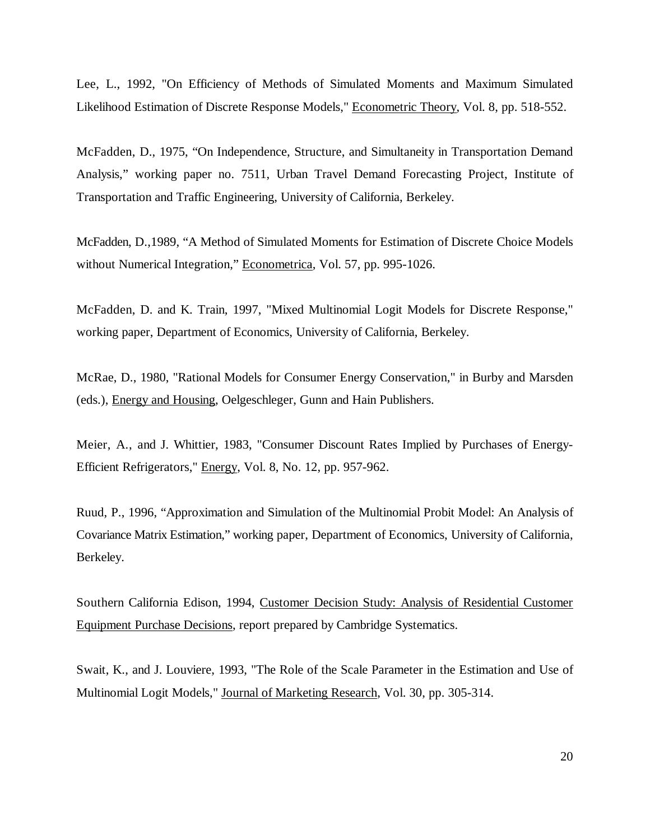Lee, L., 1992, "On Efficiency of Methods of Simulated Moments and Maximum Simulated Likelihood Estimation of Discrete Response Models," Econometric Theory, Vol. 8, pp. 518-552.

McFadden, D., 1975, "On Independence, Structure, and Simultaneity in Transportation Demand Analysis," working paper no. 7511, Urban Travel Demand Forecasting Project, Institute of Transportation and Traffic Engineering, University of California, Berkeley.

McFadden, D.,1989, "A Method of Simulated Moments for Estimation of Discrete Choice Models without Numerical Integration," Econometrica, Vol. 57, pp. 995-1026.

McFadden, D. and K. Train, 1997, "Mixed Multinomial Logit Models for Discrete Response," working paper, Department of Economics, University of California, Berkeley.

McRae, D., 1980, "Rational Models for Consumer Energy Conservation," in Burby and Marsden (eds.), Energy and Housing, Oelgeschleger, Gunn and Hain Publishers.

Meier, A., and J. Whittier, 1983, "Consumer Discount Rates Implied by Purchases of Energy-Efficient Refrigerators," Energy, Vol. 8, No. 12, pp. 957-962.

Ruud, P., 1996, "Approximation and Simulation of the Multinomial Probit Model: An Analysis of Covariance Matrix Estimation," working paper, Department of Economics, University of California, Berkeley.

Southern California Edison, 1994, Customer Decision Study: Analysis of Residential Customer Equipment Purchase Decisions, report prepared by Cambridge Systematics.

Swait, K., and J. Louviere, 1993, "The Role of the Scale Parameter in the Estimation and Use of Multinomial Logit Models," Journal of Marketing Research, Vol. 30, pp. 305-314.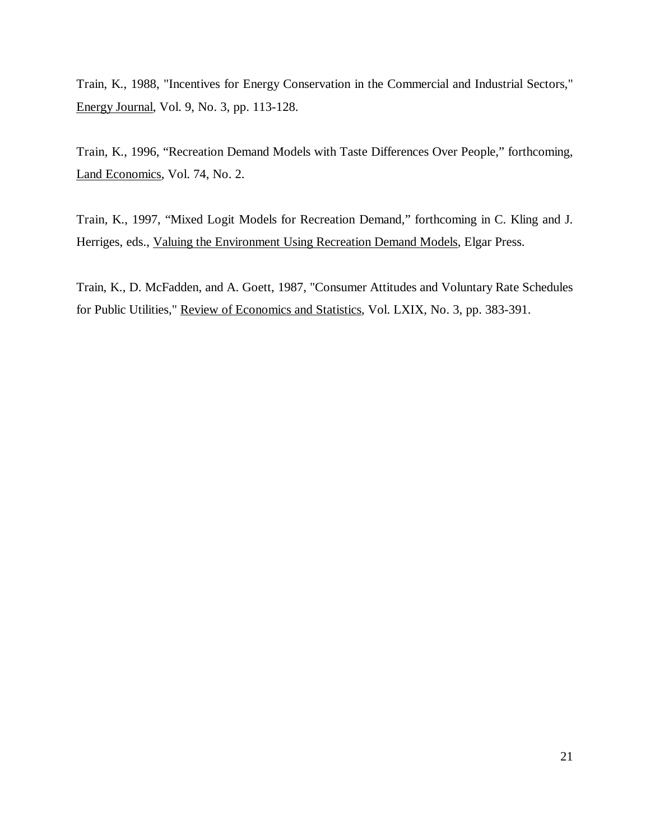Train, K., 1988, "Incentives for Energy Conservation in the Commercial and Industrial Sectors," Energy Journal, Vol. 9, No. 3, pp. 113-128.

Train, K., 1996, "Recreation Demand Models with Taste Differences Over People," forthcoming, Land Economics, Vol. 74, No. 2.

Train, K., 1997, "Mixed Logit Models for Recreation Demand," forthcoming in C. Kling and J. Herriges, eds., Valuing the Environment Using Recreation Demand Models, Elgar Press.

Train, K., D. McFadden, and A. Goett, 1987, "Consumer Attitudes and Voluntary Rate Schedules for Public Utilities," Review of Economics and Statistics, Vol. LXIX, No. 3, pp. 383-391.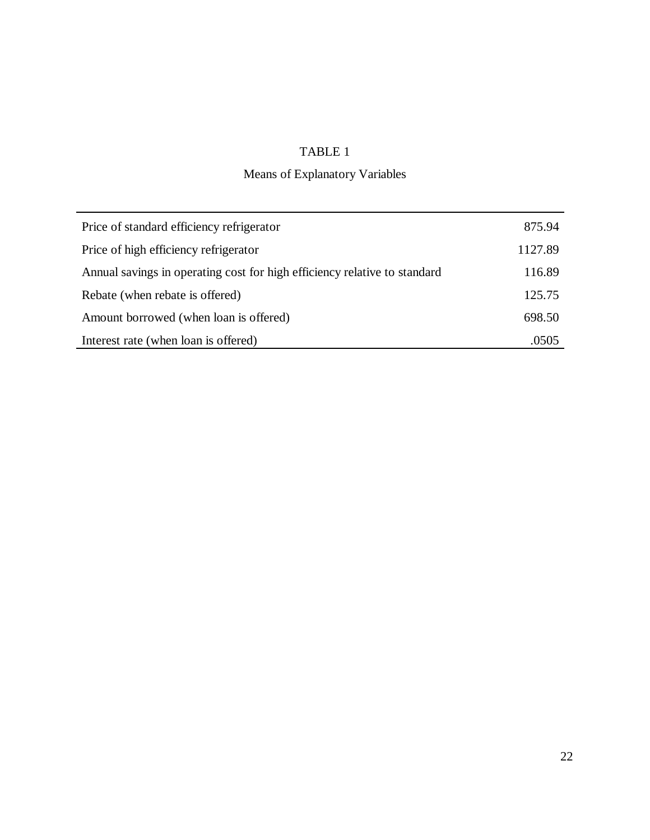### TABLE 1

## Means of Explanatory Variables

| Price of standard efficiency refrigerator                                 | 875.94  |
|---------------------------------------------------------------------------|---------|
| Price of high efficiency refrigerator                                     | 1127.89 |
| Annual savings in operating cost for high efficiency relative to standard | 116.89  |
| Rebate (when rebate is offered)                                           | 125.75  |
| Amount borrowed (when loan is offered)                                    | 698.50  |
| Interest rate (when loan is offered)                                      | .0505   |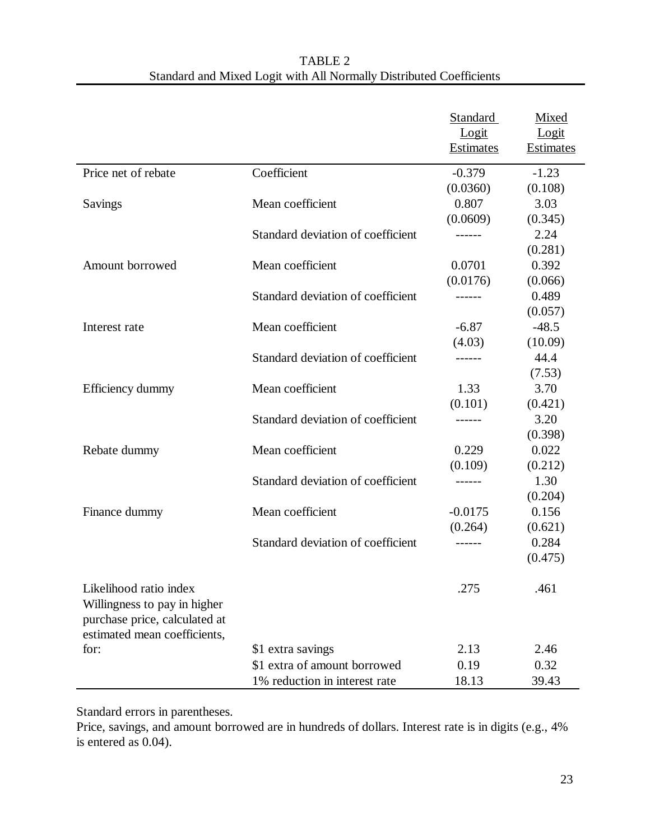| TABLE 2                                                             |
|---------------------------------------------------------------------|
| Standard and Mixed Logit with All Normally Distributed Coefficients |

|                                                                                                                         |                                   | Standard<br>Logit<br><b>Estimates</b> | Mixed<br>Logit<br><b>Estimates</b> |
|-------------------------------------------------------------------------------------------------------------------------|-----------------------------------|---------------------------------------|------------------------------------|
| Price net of rebate                                                                                                     | Coefficient                       | $-0.379$                              | $-1.23$                            |
|                                                                                                                         |                                   | (0.0360)                              | (0.108)                            |
| Savings                                                                                                                 | Mean coefficient                  | 0.807                                 | 3.03                               |
|                                                                                                                         |                                   | (0.0609)                              | (0.345)                            |
|                                                                                                                         | Standard deviation of coefficient |                                       | 2.24                               |
|                                                                                                                         |                                   |                                       | (0.281)                            |
| Amount borrowed                                                                                                         | Mean coefficient                  | 0.0701                                | 0.392                              |
|                                                                                                                         |                                   | (0.0176)                              | (0.066)                            |
|                                                                                                                         | Standard deviation of coefficient | ------                                | 0.489                              |
|                                                                                                                         |                                   |                                       | (0.057)                            |
| Interest rate                                                                                                           | Mean coefficient                  | $-6.87$                               | $-48.5$                            |
|                                                                                                                         |                                   | (4.03)                                | (10.09)                            |
|                                                                                                                         | Standard deviation of coefficient | ------                                | 44.4                               |
|                                                                                                                         |                                   |                                       | (7.53)                             |
| Efficiency dummy                                                                                                        | Mean coefficient                  | 1.33                                  | 3.70                               |
|                                                                                                                         |                                   | (0.101)                               | (0.421)                            |
|                                                                                                                         | Standard deviation of coefficient | ------                                | 3.20                               |
|                                                                                                                         |                                   |                                       | (0.398)                            |
| Rebate dummy                                                                                                            | Mean coefficient                  | 0.229                                 | 0.022                              |
|                                                                                                                         |                                   | (0.109)                               | (0.212)                            |
|                                                                                                                         | Standard deviation of coefficient | ------                                | 1.30                               |
|                                                                                                                         |                                   |                                       | (0.204)                            |
| Finance dummy                                                                                                           | Mean coefficient                  | $-0.0175$                             | 0.156                              |
|                                                                                                                         |                                   | (0.264)                               | (0.621)                            |
|                                                                                                                         | Standard deviation of coefficient | ------                                | 0.284                              |
|                                                                                                                         |                                   |                                       | (0.475)                            |
| Likelihood ratio index<br>Willingness to pay in higher<br>purchase price, calculated at<br>estimated mean coefficients, |                                   | .275                                  | .461                               |
| for:                                                                                                                    | \$1 extra savings                 | 2.13                                  | 2.46                               |
|                                                                                                                         | \$1 extra of amount borrowed      | 0.19                                  | 0.32                               |
|                                                                                                                         | 1% reduction in interest rate     | 18.13                                 | 39.43                              |

Standard errors in parentheses.

Price, savings, and amount borrowed are in hundreds of dollars. Interest rate is in digits (e.g., 4% is entered as 0.04).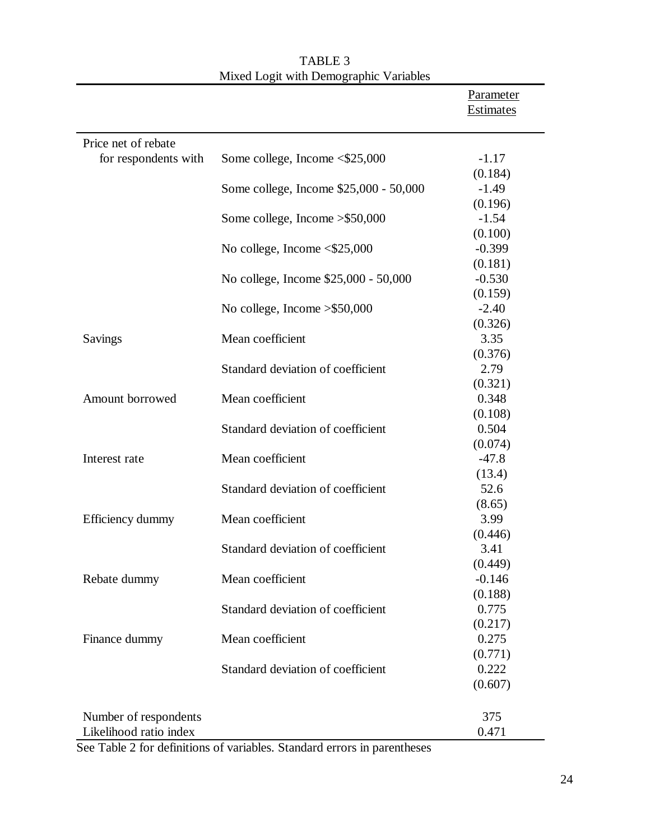|                        |                                        | Parameter<br>Estimates |
|------------------------|----------------------------------------|------------------------|
| Price net of rebate    |                                        |                        |
| for respondents with   | Some college, Income <\$25,000         | $-1.17$                |
|                        |                                        | (0.184)                |
|                        | Some college, Income \$25,000 - 50,000 | $-1.49$                |
|                        |                                        | (0.196)                |
|                        | Some college, Income $>\$50,000$       | $-1.54$                |
|                        |                                        | (0.100)                |
|                        | No college, Income <\$25,000           | $-0.399$               |
|                        |                                        | (0.181)                |
|                        | No college, Income \$25,000 - 50,000   | $-0.530$               |
|                        |                                        | (0.159)                |
|                        | No college, Income $>\$50,000$         | $-2.40$                |
|                        |                                        | (0.326)                |
| Savings                | Mean coefficient                       | 3.35                   |
|                        |                                        | (0.376)                |
|                        | Standard deviation of coefficient      | 2.79                   |
|                        |                                        | (0.321)                |
| Amount borrowed        | Mean coefficient                       | 0.348                  |
|                        |                                        | (0.108)                |
|                        | Standard deviation of coefficient      | 0.504                  |
|                        |                                        | (0.074)                |
| Interest rate          | Mean coefficient                       | $-47.8$                |
|                        |                                        | (13.4)                 |
|                        | Standard deviation of coefficient      | 52.6                   |
|                        | Mean coefficient                       | (8.65)<br>3.99         |
| Efficiency dummy       |                                        |                        |
|                        | Standard deviation of coefficient      | (0.446)<br>3.41        |
|                        |                                        | (0.449)                |
| Rebate dummy           | Mean coefficient                       | $-0.146$               |
|                        |                                        | (0.188)                |
|                        | Standard deviation of coefficient      | 0.775                  |
|                        |                                        | (0.217)                |
| Finance dummy          | Mean coefficient                       | 0.275                  |
|                        |                                        | (0.771)                |
|                        | Standard deviation of coefficient      | 0.222                  |
|                        |                                        | (0.607)                |
|                        |                                        |                        |
| Number of respondents  |                                        | 375                    |
| Likelihood ratio index |                                        | 0.471                  |

TABLE 3 Mixed Logit with Demographic Variables

See Table 2 for definitions of variables. Standard errors in parentheses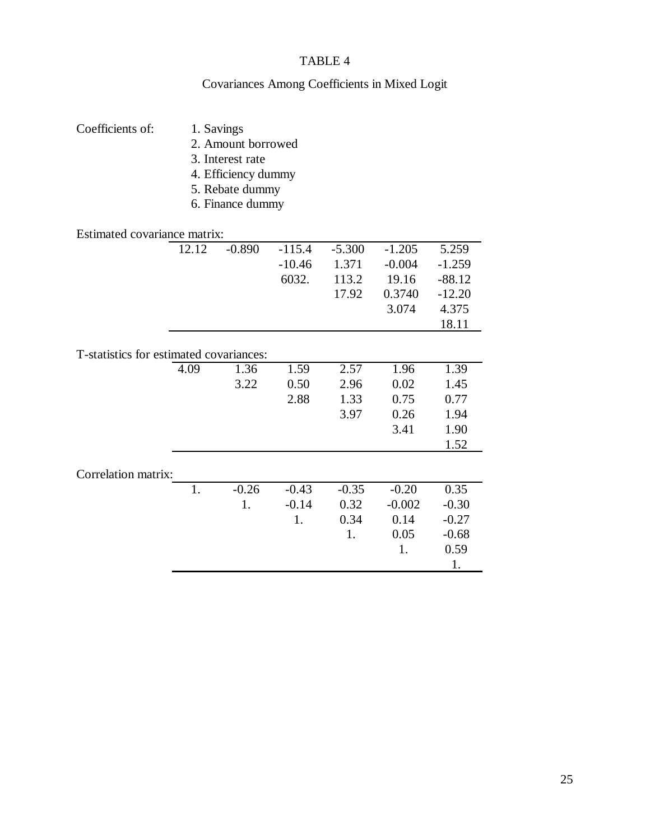### TABLE 4

# Covariances Among Coefficients in Mixed Logit

| Coefficients of:                        | 1. Savings         |                     |          |          |          |          |
|-----------------------------------------|--------------------|---------------------|----------|----------|----------|----------|
|                                         | 2. Amount borrowed |                     |          |          |          |          |
|                                         | 3. Interest rate   |                     |          |          |          |          |
|                                         |                    |                     |          |          |          |          |
|                                         |                    | 4. Efficiency dummy |          |          |          |          |
|                                         |                    | 5. Rebate dummy     |          |          |          |          |
|                                         |                    | 6. Finance dummy    |          |          |          |          |
|                                         |                    |                     |          |          |          |          |
| Estimated covariance matrix:            |                    |                     |          |          |          |          |
|                                         | 12.12              | $-0.890$            | $-115.4$ | $-5.300$ | $-1.205$ | 5.259    |
|                                         |                    |                     | $-10.46$ | 1.371    | $-0.004$ | $-1.259$ |
|                                         |                    |                     | 6032.    | 113.2    | 19.16    | $-88.12$ |
|                                         |                    |                     |          | 17.92    | 0.3740   | $-12.20$ |
|                                         |                    |                     |          |          | 3.074    | 4.375    |
|                                         |                    |                     |          |          |          | 18.11    |
|                                         |                    |                     |          |          |          |          |
| T-statistics for estimated covariances: |                    |                     |          |          |          |          |
|                                         | 4.09               | 1.36                | 1.59     | 2.57     | 1.96     | 1.39     |
|                                         |                    | 3.22                | 0.50     | 2.96     | 0.02     | 1.45     |
|                                         |                    |                     | 2.88     | 1.33     | 0.75     | 0.77     |
|                                         |                    |                     |          | 3.97     | 0.26     | 1.94     |
|                                         |                    |                     |          |          | 3.41     | 1.90     |
|                                         |                    |                     |          |          |          | 1.52     |
|                                         |                    |                     |          |          |          |          |
| Correlation matrix:                     |                    |                     |          |          |          |          |
|                                         | 1.                 | $-0.26$             | $-0.43$  | $-0.35$  | $-0.20$  | 0.35     |
|                                         |                    | 1.                  | $-0.14$  | 0.32     | $-0.002$ | $-0.30$  |
|                                         |                    |                     | 1.       | 0.34     | 0.14     | $-0.27$  |
|                                         |                    |                     |          | 1.       | 0.05     | $-0.68$  |
|                                         |                    |                     |          |          | 1.       | 0.59     |
|                                         |                    |                     |          |          |          | 1.       |
|                                         |                    |                     |          |          |          |          |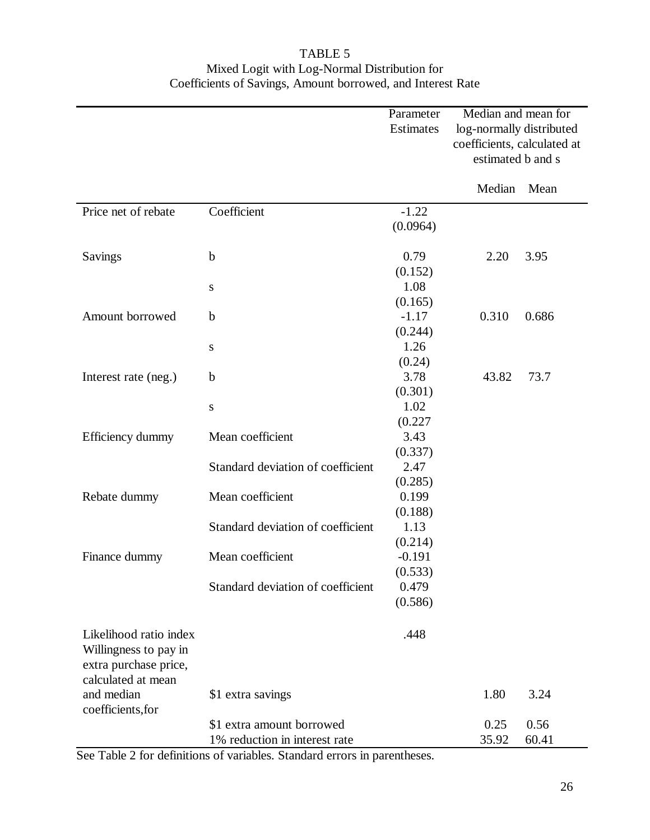### TABLE 5 Mixed Logit with Log-Normal Distribution for Coefficients of Savings, Amount borrowed, and Interest Rate

|                                                                                                |                                   | Parameter<br>Estimates | Median and mean for<br>log-normally distributed<br>coefficients, calculated at<br>estimated b and s |       |
|------------------------------------------------------------------------------------------------|-----------------------------------|------------------------|-----------------------------------------------------------------------------------------------------|-------|
|                                                                                                |                                   |                        | Median                                                                                              | Mean  |
| Price net of rebate                                                                            | Coefficient                       | $-1.22$                |                                                                                                     |       |
|                                                                                                |                                   | (0.0964)               |                                                                                                     |       |
| Savings                                                                                        | $\mathbf b$                       | 0.79                   | 2.20                                                                                                | 3.95  |
|                                                                                                |                                   | (0.152)                |                                                                                                     |       |
|                                                                                                | ${\bf S}$                         | 1.08                   |                                                                                                     |       |
|                                                                                                |                                   | (0.165)                |                                                                                                     |       |
| Amount borrowed                                                                                | $\mathbf b$                       | $-1.17$                | 0.310                                                                                               | 0.686 |
|                                                                                                |                                   | (0.244)                |                                                                                                     |       |
|                                                                                                | S                                 | 1.26                   |                                                                                                     |       |
|                                                                                                |                                   | (0.24)                 |                                                                                                     |       |
| Interest rate (neg.)                                                                           | $\mathbf b$                       | 3.78                   | 43.82                                                                                               | 73.7  |
|                                                                                                |                                   | (0.301)                |                                                                                                     |       |
|                                                                                                | ${\bf S}$                         | 1.02                   |                                                                                                     |       |
|                                                                                                |                                   | (0.227)                |                                                                                                     |       |
| Efficiency dummy                                                                               | Mean coefficient                  | 3.43                   |                                                                                                     |       |
|                                                                                                |                                   | (0.337)                |                                                                                                     |       |
|                                                                                                | Standard deviation of coefficient | 2.47                   |                                                                                                     |       |
|                                                                                                |                                   | (0.285)                |                                                                                                     |       |
| Rebate dummy                                                                                   | Mean coefficient                  | 0.199                  |                                                                                                     |       |
|                                                                                                |                                   | (0.188)                |                                                                                                     |       |
|                                                                                                | Standard deviation of coefficient | 1.13                   |                                                                                                     |       |
|                                                                                                |                                   | (0.214)                |                                                                                                     |       |
| Finance dummy                                                                                  | Mean coefficient                  | $-0.191$               |                                                                                                     |       |
|                                                                                                |                                   | (0.533)                |                                                                                                     |       |
|                                                                                                | Standard deviation of coefficient | 0.479                  |                                                                                                     |       |
|                                                                                                |                                   | (0.586)                |                                                                                                     |       |
| Likelihood ratio index<br>Willingness to pay in<br>extra purchase price,<br>calculated at mean |                                   | .448                   |                                                                                                     |       |
| and median<br>coefficients, for                                                                | \$1 extra savings                 |                        | 1.80                                                                                                | 3.24  |
|                                                                                                | \$1 extra amount borrowed         |                        | 0.25                                                                                                | 0.56  |
|                                                                                                | 1% reduction in interest rate     |                        | 35.92                                                                                               | 60.41 |

See Table 2 for definitions of variables. Standard errors in parentheses.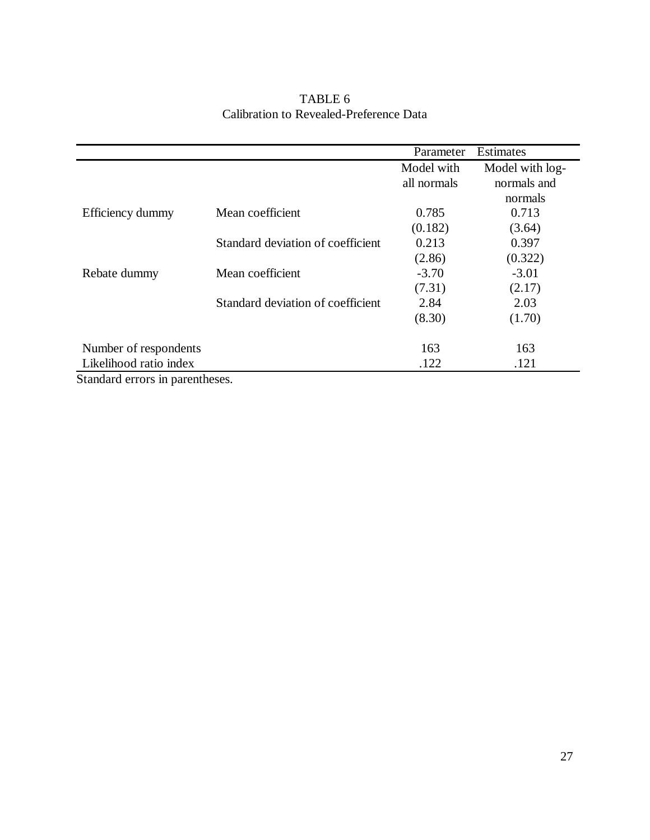|                         |                                   | Parameter   | <b>Estimates</b> |
|-------------------------|-----------------------------------|-------------|------------------|
|                         |                                   | Model with  | Model with log-  |
|                         |                                   | all normals | normals and      |
|                         |                                   |             | normals          |
| Efficiency dummy        | Mean coefficient                  | 0.785       | 0.713            |
|                         |                                   | (0.182)     | (3.64)           |
|                         | Standard deviation of coefficient | 0.213       | 0.397            |
|                         |                                   | (2.86)      | (0.322)          |
| Rebate dummy            | Mean coefficient                  | $-3.70$     | $-3.01$          |
|                         |                                   | (7.31)      | (2.17)           |
|                         | Standard deviation of coefficient | 2.84        | 2.03             |
|                         |                                   | (8.30)      | (1.70)           |
| Number of respondents   |                                   | 163         | 163              |
| Likelihood ratio index  |                                   | .122        | .121             |
| $\alpha$ , 1 1 $\alpha$ |                                   |             |                  |

### TABLE 6 Calibration to Revealed-Preference Data

Standard errors in parentheses.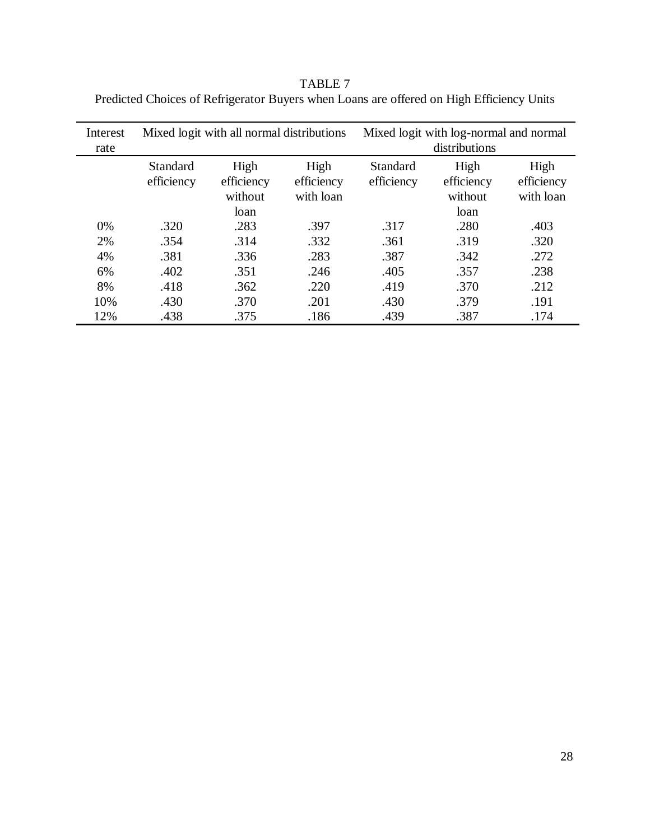TABLE 7 Predicted Choices of Refrigerator Buyers when Loans are offered on High Efficiency Units

| Interest<br>rate | Mixed logit with all normal distributions |                               |                                 |                        | Mixed logit with log-normal and normal<br>distributions |                                 |
|------------------|-------------------------------------------|-------------------------------|---------------------------------|------------------------|---------------------------------------------------------|---------------------------------|
|                  | Standard<br>efficiency                    | High<br>efficiency<br>without | High<br>efficiency<br>with loan | Standard<br>efficiency | High<br>efficiency<br>without                           | High<br>efficiency<br>with loan |
|                  |                                           | loan                          |                                 |                        | loan                                                    |                                 |
| 0%               | .320                                      | .283                          | .397                            | .317                   | .280                                                    | .403                            |
| 2%               | .354                                      | .314                          | .332                            | .361                   | .319                                                    | .320                            |
| 4%               | .381                                      | .336                          | .283                            | .387                   | .342                                                    | .272                            |
| 6%               | .402                                      | .351                          | .246                            | .405                   | .357                                                    | .238                            |
| 8%               | .418                                      | .362                          | .220                            | .419                   | .370                                                    | .212                            |
| 10%              | .430                                      | .370                          | .201                            | .430                   | .379                                                    | .191                            |
| 12%              | .438                                      | .375                          | .186                            | .439                   | .387                                                    | .174                            |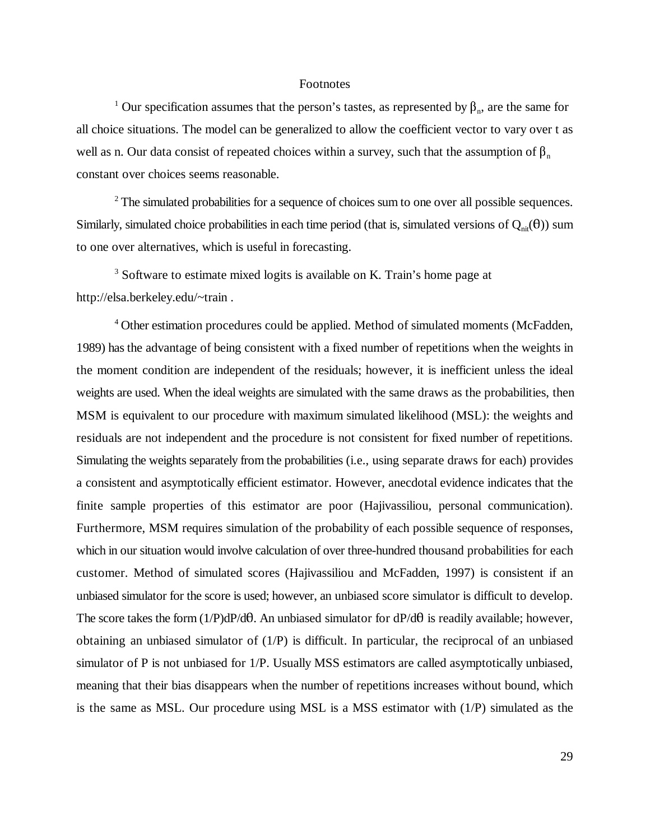#### Footnotes

<sup>1</sup> Our specification assumes that the person's tastes, as represented by  $\beta_n$ , are the same for all choice situations. The model can be generalized to allow the coefficient vector to vary over t as well as n. Our data consist of repeated choices within a survey, such that the assumption of  $\beta_n$ constant over choices seems reasonable.

 $2^2$  The simulated probabilities for a sequence of choices sum to one over all possible sequences. Similarly, simulated choice probabilities in each time period (that is, simulated versions of  $Q_{ni}(\theta)$ ) sum to one over alternatives, which is useful in forecasting.

 $3$  Software to estimate mixed logits is available on K. Train's home page at http://elsa.berkeley.edu/~train .

<sup>4</sup> Other estimation procedures could be applied. Method of simulated moments (McFadden, 1989) has the advantage of being consistent with a fixed number of repetitions when the weights in the moment condition are independent of the residuals; however, it is inefficient unless the ideal weights are used. When the ideal weights are simulated with the same draws as the probabilities, then MSM is equivalent to our procedure with maximum simulated likelihood (MSL): the weights and residuals are not independent and the procedure is not consistent for fixed number of repetitions. Simulating the weights separately from the probabilities (i.e., using separate draws for each) provides a consistent and asymptotically efficient estimator. However, anecdotal evidence indicates that the finite sample properties of this estimator are poor (Hajivassiliou, personal communication). Furthermore, MSM requires simulation of the probability of each possible sequence of responses, which in our situation would involve calculation of over three-hundred thousand probabilities for each customer. Method of simulated scores (Hajivassiliou and McFadden, 1997) is consistent if an unbiased simulator for the score is used; however, an unbiased score simulator is difficult to develop. The score takes the form  $(1/P)dP/d\theta$ . An unbiased simulator for  $dP/d\theta$  is readily available; however, obtaining an unbiased simulator of (1/P) is difficult. In particular, the reciprocal of an unbiased simulator of P is not unbiased for 1/P. Usually MSS estimators are called asymptotically unbiased, meaning that their bias disappears when the number of repetitions increases without bound, which is the same as MSL. Our procedure using MSL is a MSS estimator with (1/P) simulated as the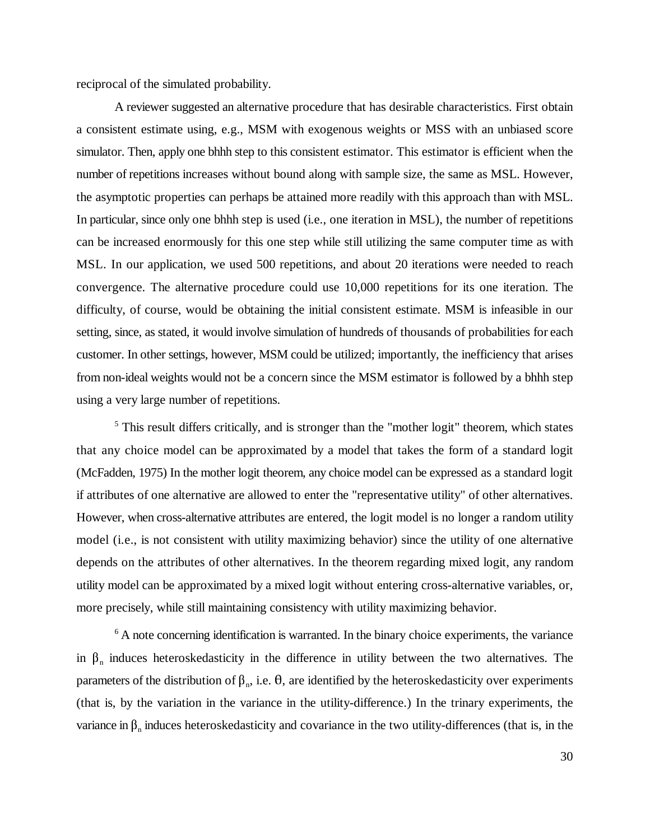reciprocal of the simulated probability.

A reviewer suggested an alternative procedure that has desirable characteristics. First obtain a consistent estimate using, e.g., MSM with exogenous weights or MSS with an unbiased score simulator. Then, apply one bhhh step to this consistent estimator. This estimator is efficient when the number of repetitions increases without bound along with sample size, the same as MSL. However, the asymptotic properties can perhaps be attained more readily with this approach than with MSL. In particular, since only one bhhh step is used (i.e., one iteration in MSL), the number of repetitions can be increased enormously for this one step while still utilizing the same computer time as with MSL. In our application, we used 500 repetitions, and about 20 iterations were needed to reach convergence. The alternative procedure could use 10,000 repetitions for its one iteration. The difficulty, of course, would be obtaining the initial consistent estimate. MSM is infeasible in our setting, since, as stated, it would involve simulation of hundreds of thousands of probabilities for each customer. In other settings, however, MSM could be utilized; importantly, the inefficiency that arises from non-ideal weights would not be a concern since the MSM estimator is followed by a bhhh step using a very large number of repetitions.

 $<sup>5</sup>$  This result differs critically, and is stronger than the "mother logit" theorem, which states</sup> that any choice model can be approximated by a model that takes the form of a standard logit (McFadden, 1975) In the mother logit theorem, any choice model can be expressed as a standard logit if attributes of one alternative are allowed to enter the "representative utility" of other alternatives. However, when cross-alternative attributes are entered, the logit model is no longer a random utility model (i.e., is not consistent with utility maximizing behavior) since the utility of one alternative depends on the attributes of other alternatives. In the theorem regarding mixed logit, any random utility model can be approximated by a mixed logit without entering cross-alternative variables, or, more precisely, while still maintaining consistency with utility maximizing behavior.

 $6$  A note concerning identification is warranted. In the binary choice experiments, the variance in  $\beta_n$  induces heteroskedasticity in the difference in utility between the two alternatives. The parameters of the distribution of  $\beta_n$ , i.e.  $\theta$ , are identified by the heteroskedasticity over experiments (that is, by the variation in the variance in the utility-difference.) In the trinary experiments, the variance in  $\beta_n$  induces heteroskedasticity and covariance in the two utility-differences (that is, in the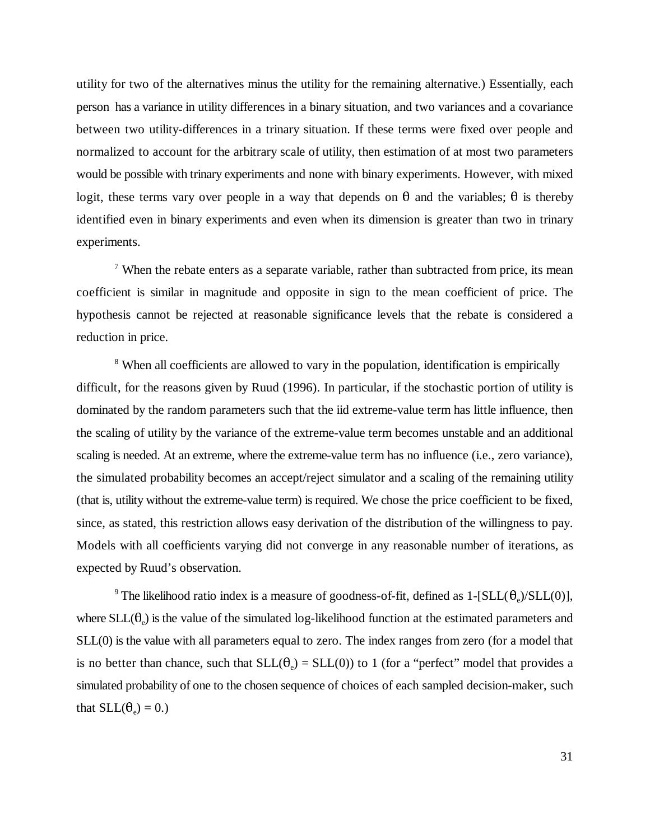utility for two of the alternatives minus the utility for the remaining alternative.) Essentially, each person has a variance in utility differences in a binary situation, and two variances and a covariance between two utility-differences in a trinary situation. If these terms were fixed over people and normalized to account for the arbitrary scale of utility, then estimation of at most two parameters would be possible with trinary experiments and none with binary experiments. However, with mixed logit, these terms vary over people in a way that depends on  $\theta$  and the variables;  $\theta$  is thereby identified even in binary experiments and even when its dimension is greater than two in trinary experiments.

 $\frac{7}{7}$  When the rebate enters as a separate variable, rather than subtracted from price, its mean coefficient is similar in magnitude and opposite in sign to the mean coefficient of price. The hypothesis cannot be rejected at reasonable significance levels that the rebate is considered a reduction in price.

<sup>8</sup> When all coefficients are allowed to vary in the population, identification is empirically difficult, for the reasons given by Ruud (1996). In particular, if the stochastic portion of utility is dominated by the random parameters such that the iid extreme-value term has little influence, then the scaling of utility by the variance of the extreme-value term becomes unstable and an additional scaling is needed. At an extreme, where the extreme-value term has no influence (i.e., zero variance), the simulated probability becomes an accept/reject simulator and a scaling of the remaining utility (that is, utility without the extreme-value term) is required. We chose the price coefficient to be fixed, since, as stated, this restriction allows easy derivation of the distribution of the willingness to pay. Models with all coefficients varying did not converge in any reasonable number of iterations, as expected by Ruud's observation.

<sup>9</sup> The likelihood ratio index is a measure of goodness-of-fit, defined as  $1 - [SLL(\theta_e)/SLL(0)]$ , where  $SLL(\theta_0)$  is the value of the simulated log-likelihood function at the estimated parameters and SLL(0) is the value with all parameters equal to zero. The index ranges from zero (for a model that is no better than chance, such that  $SLL(\theta_0) = SLL(0)$  to 1 (for a "perfect" model that provides a simulated probability of one to the chosen sequence of choices of each sampled decision-maker, such that  $SLL(\theta_0) = 0.$ )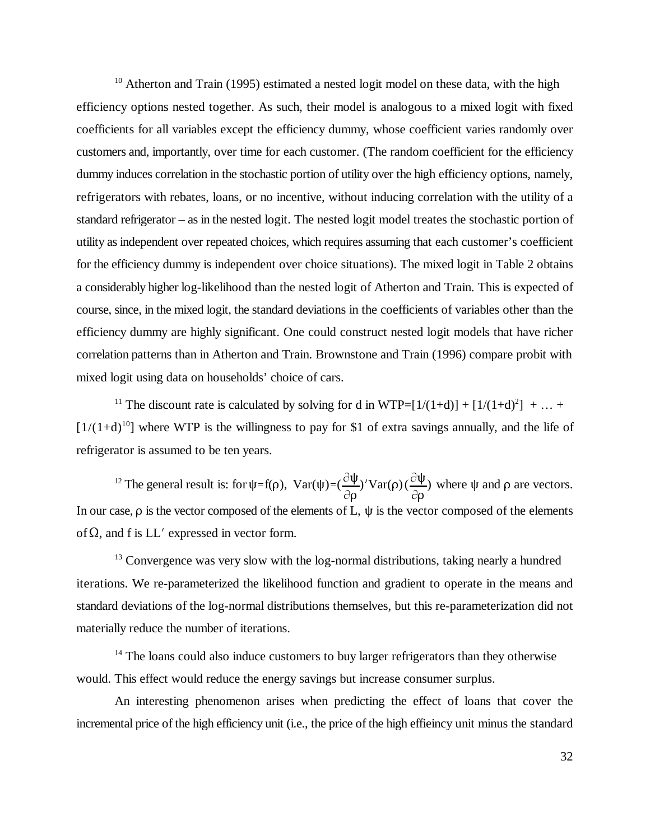$10$  Atherton and Train (1995) estimated a nested logit model on these data, with the high efficiency options nested together. As such, their model is analogous to a mixed logit with fixed coefficients for all variables except the efficiency dummy, whose coefficient varies randomly over customers and, importantly, over time for each customer. (The random coefficient for the efficiency dummy induces correlation in the stochastic portion of utility over the high efficiency options, namely, refrigerators with rebates, loans, or no incentive, without inducing correlation with the utility of a standard refrigerator – as in the nested logit. The nested logit model treates the stochastic portion of utility as independent over repeated choices, which requires assuming that each customer's coefficient for the efficiency dummy is independent over choice situations). The mixed logit in Table 2 obtains a considerably higher log-likelihood than the nested logit of Atherton and Train. This is expected of course, since, in the mixed logit, the standard deviations in the coefficients of variables other than the efficiency dummy are highly significant. One could construct nested logit models that have richer correlation patterns than in Atherton and Train. Brownstone and Train (1996) compare probit with mixed logit using data on households' choice of cars.

<sup>11</sup> The discount rate is calculated by solving for d in WTP= $[1/(1+d)] + [1/(1+d)^2] + ... +$  $[1/(1+d)]^{10}$  where WTP is the willingness to pay for \$1 of extra savings annually, and the life of refrigerator is assumed to be ten years.

 $\psi = f(\rho)$ ,  $Var(\psi) = (\frac{\partial \psi}{\partial \rho})$  $\overline{\partial \rho}$ )'Var(ρ) ( $\frac{\partial \Psi}{\partial r}$ <sup>12</sup> The general result is: for  $\psi = f(\rho)$ ,  $Var(\psi) = (\frac{\partial \psi}{\partial \rho})' Var(\rho) (\frac{\partial \psi}{\partial \rho})$  where  $\psi$  and  $\rho$  are vectors. In our case,  $\rho$  is the vector composed of the elements of L,  $\psi$  is the vector composed of the elements of  $\Omega$ , and f is LL' expressed in vector form.

<sup>13</sup> Convergence was very slow with the log-normal distributions, taking nearly a hundred iterations. We re-parameterized the likelihood function and gradient to operate in the means and standard deviations of the log-normal distributions themselves, but this re-parameterization did not materially reduce the number of iterations.

 $14$  The loans could also induce customers to buy larger refrigerators than they otherwise would. This effect would reduce the energy savings but increase consumer surplus.

An interesting phenomenon arises when predicting the effect of loans that cover the incremental price of the high efficiency unit (i.e., the price of the high effieincy unit minus the standard